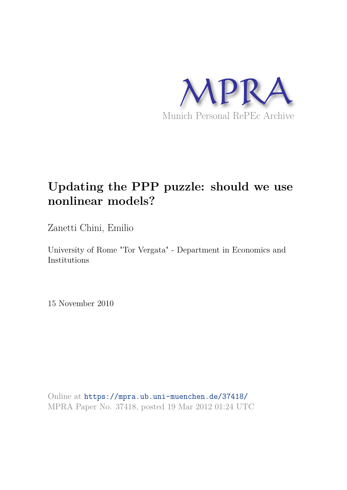

# **Updating the PPP puzzle: should we use nonlinear models?**

Zanetti Chini, Emilio

University of Rome "Tor Vergata" - Department in Economics and Institutions

15 November 2010

Online at https://mpra.ub.uni-muenchen.de/37418/ MPRA Paper No. 37418, posted 19 Mar 2012 01:24 UTC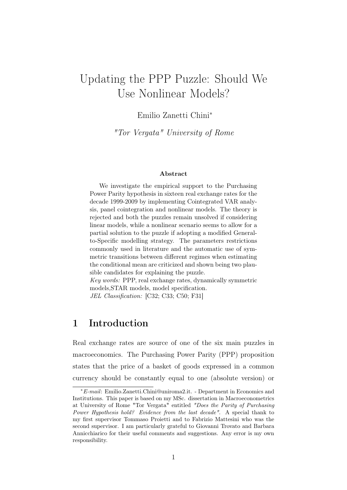# Updating the PPP Puzzle: Should We Use Nonlinear Models?

Emilio Zanetti Chini<sup>∗</sup>

"Tor Vergata" University of Rome

#### Abstract

We investigate the empirical support to the Purchasing Power Parity hypothesis in sixteen real exchange rates for the decade 1999-2009 by implementing Cointegrated VAR analysis, panel cointegration and nonlinear models. The theory is rejected and both the puzzles remain unsolved if considering linear models, while a nonlinear scenario seems to allow for a partial solution to the puzzle if adopting a modified Generalto-Specific modelling strategy. The parameters restrictions commonly used in literature and the automatic use of symmetric transitions between different regimes when estimating the conditional mean are criticized and shown being two plausible candidates for explaining the puzzle.

*Key words:* PPP, real exchange rates, dynamically symmetric models,STAR models, model specification.

*JEL Classification:* [C32; C33; C50; F31]

## 1 Introduction

Real exchange rates are source of one of the six main puzzles in macroeconomics. The Purchasing Power Parity (PPP) proposition states that the price of a basket of goods expressed in a common currency should be constantly equal to one (absolute version) or

<sup>∗</sup>E-mail: Emilio.Zanetti.Chini@uniroma2.it. - Department in Economics and Institutions. This paper is based on my MSc. dissertation in Macroeconometrics at University of Rome "Tor Vergata" entitled "Does the Parity of Purchasing Power Hypothesis hold? Evidence from the last decade". A special thank to my first supervisor Tommaso Proietti and to Fabrizio Mattesini who was the second supervisor. I am particularly grateful to Giovanni Trovato and Barbara Annicchiarico for their useful comments and suggestions. Any error is my own responsibility.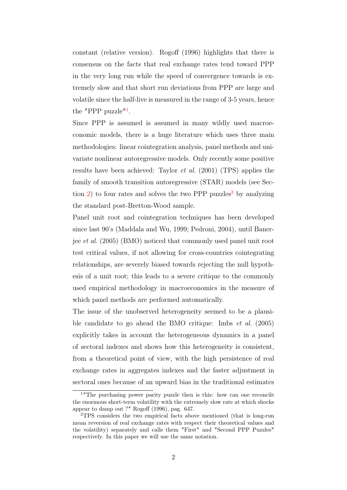constant (relative version). Rogoff (1996) highlights that there is consensus on the facts that real exchange rates tend toward PPP in the very long run while the speed of convergence towards is extremely slow and that short run deviations from PPP are large and volatile since the half-live is measured in the range of 3-5 years, hence the "PPP puzzle"<sup>1</sup>.

Since PPP is assumed is assumed in many wildly used macroeconomic models, there is a huge literature which uses three main methodologies: linear cointegration analysis, panel methods and univariate nonlinear autoregressive models. Only recently some positive results have been achieved: Taylor et al. (2001) (TPS) applies the family of smooth transition autoregressive (STAR) models (see Section 2) to four rates and solves the two PPP puzzles<sup>2</sup> by analyzing the standard post-Bretton-Wood sample.

Panel unit root and cointegration techniques has been developed since last 90's (Maddala and Wu, 1999; Pedroni, 2004), until Banerjee et al. (2005) (BMO) noticed that commonly used panel unit root test critical values, if not allowing for cross-countries cointegrating relationships, are severely biased towards rejecting the null hypothesis of a unit root; this leads to a severe critique to the commonly used empirical methodology in macroeconomics in the measure of which panel methods are performed automatically.

The issue of the unobserved heterogeneity seemed to be a plausible candidate to go ahead the BMO critique: Imbs *et al.* (2005) explicitly takes in account the heterogeneous dynamics in a panel of sectoral indexes and shows how this heterogeneity is consistent, from a theoretical point of view, with the high persistence of real exchange rates in aggregates indexes and the faster adjustment in sectoral ones because of an upward bias in the traditional estimates

<sup>1</sup>"The purchasing power parity puzzle then is this: how can one reconcile the enormous short-term volatility with the extremely slow rate at which shocks appear to damp out ?" Rogoff (1996), pag. 647.

<sup>2</sup>TPS considers the two empirical facts above mentioned (that is long-run mean reversion of real exchange rates with respect their theoretical values and the volatility) separately and calls them "First" and "Second PPP Puzzles" respectively. In this paper we will use the same notation.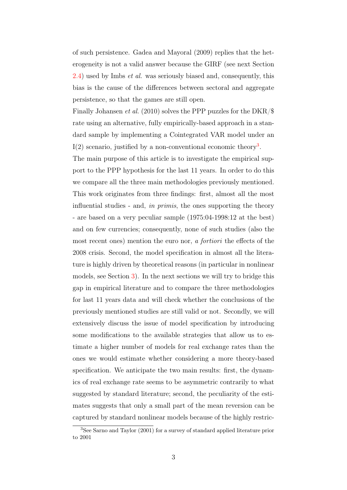of such persistence. Gadea and Mayoral (2009) replies that the heterogeneity is not a valid answer because the GIRF (see next Section  $(2.4)$  used by Imbs *et al.* was seriously biased and, consequently, this bias is the cause of the differences between sectoral and aggregate persistence, so that the games are still open.

Finally Johansen et al. (2010) solves the PPP puzzles for the DKR/\$ rate using an alternative, fully empirically-based approach in a standard sample by implementing a Cointegrated VAR model under an  $I(2)$  scenario, justified by a non-conventional economic theory<sup>3</sup>.

The main purpose of this article is to investigate the empirical support to the PPP hypothesis for the last 11 years. In order to do this we compare all the three main methodologies previously mentioned. This work originates from three findings: first, almost all the most influential studies - and, in primis, the ones supporting the theory - are based on a very peculiar sample (1975:04-1998:12 at the best) and on few currencies; consequently, none of such studies (also the most recent ones) mention the euro nor, a *fortiori* the effects of the 2008 crisis. Second, the model specification in almost all the literature is highly driven by theoretical reasons (in particular in nonlinear models, see Section 3). In the next sections we will try to bridge this gap in empirical literature and to compare the three methodologies for last 11 years data and will check whether the conclusions of the previously mentioned studies are still valid or not. Secondly, we will extensively discuss the issue of model specification by introducing some modifications to the available strategies that allow us to estimate a higher number of models for real exchange rates than the ones we would estimate whether considering a more theory-based specification. We anticipate the two main results: first, the dynamics of real exchange rate seems to be asymmetric contrarily to what suggested by standard literature; second, the peculiarity of the estimates suggests that only a small part of the mean reversion can be captured by standard nonlinear models because of the highly restric-

<sup>3</sup>See Sarno and Taylor (2001) for a survey of standard applied literature prior to 2001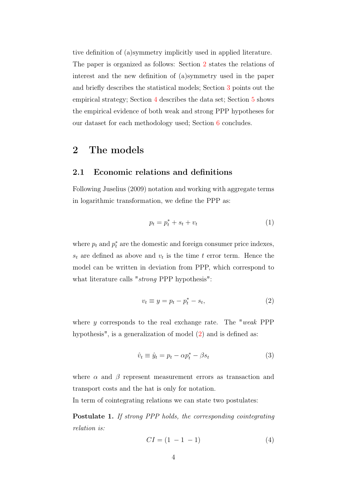tive definition of (a)symmetry implicitly used in applied literature. The paper is organized as follows: Section 2 states the relations of interest and the new definition of (a)symmetry used in the paper and briefly describes the statistical models; Section 3 points out the empirical strategy; Section 4 describes the data set; Section 5 shows the empirical evidence of both weak and strong PPP hypotheses for our dataset for each methodology used; Section 6 concludes.

## 2 The models

#### 2.1 Economic relations and definitions

Following Juselius (2009) notation and working with aggregate terms in logarithmic transformation, we define the PPP as:

$$
p_t = p_t^* + s_t + v_t \tag{1}
$$

where  $p_t$  and  $p_t^*$  are the domestic and foreign consumer price indexes,  $s_t$  are defined as above and  $v_t$  is the time t error term. Hence the model can be written in deviation from PPP, which correspond to what literature calls "strong PPP hypothesis":

$$
v_t \equiv y = p_t - p_t^* - s_t,\tag{2}
$$

where  $y$  corresponds to the real exchange rate. The "weak PPP hypothesis", is a generalization of model  $(2)$  and is defined as:

$$
\hat{v}_t \equiv \hat{y}_t = p_t - \alpha p_t^* - \beta s_t \tag{3}
$$

where  $\alpha$  and  $\beta$  represent measurement errors as transaction and transport costs and the hat is only for notation.

In term of cointegrating relations we can state two postulates:

Postulate 1. If strong PPP holds, the corresponding cointegrating relation is:

$$
CI = (1 - 1 - 1) \tag{4}
$$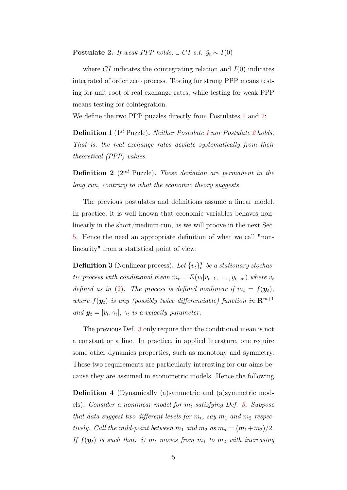Postulate 2. If weak PPP holds,  $∃ CI$  s.t.  $\hat{y}_t \sim I(0)$ 

where  $CI$  indicates the cointegrating relation and  $I(0)$  indicates integrated of order zero process. Testing for strong PPP means testing for unit root of real exchange rates, while testing for weak PPP means testing for cointegration.

We define the two PPP puzzles directly from Postulates 1 and 2:

**Definition 1** ( $1^{st}$  Puzzle). Neither Postulate 1 nor Postulate 2 holds. That is, the real exchange rates deviate systematically from their theoretical (PPP) values.

**Definition 2** ( $2^{nd}$  Puzzle). These deviation are permanent in the long run, contrary to what the economic theory suggests.

The previous postulates and definitions assume a linear model. In practice, it is well known that economic variables behaves nonlinearly in the short/medium-run, as we will proove in the next Sec. 5. Hence the need an appropriate definition of what we call "nonlinearity" from a statistical point of view:

**Definition 3** (Nonlinear process). Let  $\{v_t\}_t^T$  be a stationary stochastic process with conditional mean  $m_t = E(v_t|v_{t-1}, \ldots, y_{t-m})$  where  $v_t$ defined as in (2). The process is defined nonlinear if  $m_t = f(\mathbf{y}_t)$ , where  $f(\mathbf{y_t})$  is any (possibly twice differenciable) function in  $\mathbf{R}^{m+1}$ and  $y_t = [v_t, \gamma_t]$ ,  $\gamma_t$  is a velocity parameter.

The previous Def. 3 only require that the conditional mean is not a constant or a line. In practice, in applied literature, one require some other dynamics properties, such as monotony and symmetry. These two requirements are particularly interesting for our aims because they are assumed in econometric models. Hence the following

Definition 4 (Dynamically (a)symmetric and (a)symmetric models). Consider a nonlinear model for  $m_t$  satisfying Def. 3. Suppose that data suggest two different levels for  $m_t$ , say  $m_1$  and  $m_2$  respectively. Call the mild-point between  $m_1$  and  $m_2$  as  $m_a = (m_1+m_2)/2$ . If  $f(\mathbf{y_t})$  is such that: i)  $m_t$  moves from  $m_1$  to  $m_2$  with increasing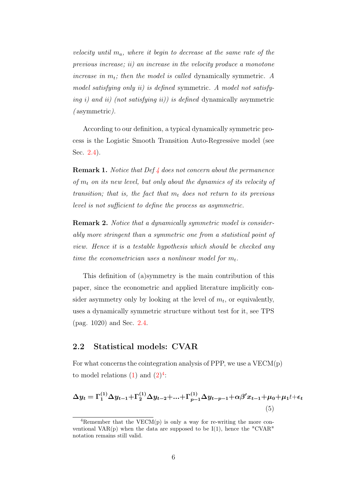velocity until  $m_a$ , where it begin to decrease at the same rate of the previous increase; ii) an increase in the velocity produce a monotone increase in  $m_t$ ; then the model is called dynamically symmetric. A model satisfying only ii) is defined symmetric. A model not satisfying i) and ii) (not satisfying ii)) is defined dynamically asymmetric ( asymmetric).

According to our definition, a typical dynamically symmetric process is the Logistic Smooth Transition Auto-Regressive model (see Sec. 2.4).

**Remark 1.** Notice that Def 4 does not concern about the permanence of  $m_t$  on its new level, but only about the dynamics of its velocity of transition; that is, the fact that  $m_t$  does not return to its previous level is not sufficient to define the process as asymmetric.

**Remark 2.** Notice that a dynamically symmetric model is considerably more stringent than a symmetric one from a statistical point of view. Hence it is a testable hypothesis which should be checked any time the econometrician uses a nonlinear model for  $m_t$ .

This definition of (a)symmetry is the main contribution of this paper, since the econometric and applied literature implicitly consider asymmetry only by looking at the level of  $m_t$ , or equivalently, uses a dynamically symmetric structure without test for it, see TPS (pag. 1020) and Sec. 2.4.

#### 2.2 Statistical models: CVAR

For what concerns the cointegration analysis of PPP, we use a  $VECM(p)$ to model relations  $(1)$  and  $(2)^4$ :

$$
\Delta y_t = \Gamma_1^{(1)} \Delta y_{t-1} + \Gamma_2^{(1)} \Delta y_{t-2} + \dots + \Gamma_{p-1}^{(1)} \Delta y_{t-p-1} + \alpha \beta' x_{t-1} + \mu_0 + \mu_1 t + \epsilon_t
$$
\n(5)

<sup>&</sup>lt;sup>4</sup>Remember that the VECM(p) is only a way for re-writing the more conventional  $VAR(p)$  when the data are supposed to be  $I(1)$ , hence the "CVAR" notation remains still valid.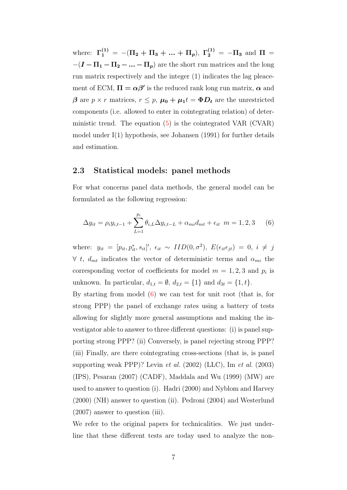where:  $\Gamma_1^{(1)} = -(\Pi_2 + \Pi_3 + ... + \Pi_p), \Gamma_2^{(1)} = -\Pi_3$  and  $\Pi =$  $-(I - \Pi_1 - \Pi_2 - \dots - \Pi_p)$  are the short run matrices and the long run matrix respectively and the integer (1) indicates the lag pleacement of ECM,  $\Pi = \alpha \beta'$  is the reduced rank long run matrix,  $\alpha$  and  $\beta$  are  $p \times r$  matrices,  $r \leq p$ ,  $\mu_0 + \mu_1 t = \Phi D_t$  are the unrestricted components (i.e. allowed to enter in cointegrating relation) of deterministic trend. The equation (5) is the cointegrated VAR (CVAR) model under I(1) hypothesis, see Johansen (1991) for further details and estimation.

#### 2.3 Statistical models: panel methods

For what concerns panel data methods, the general model can be formulated as the following regression:

$$
\Delta y_{it} = \rho_i y_{i,t-1} + \sum_{L=1}^{p_i} \theta_{i,L} \Delta y_{i,t-L} + \alpha_{mi} d_{mt} + \epsilon_{it} \ m = 1, 2, 3 \tag{6}
$$

where:  $y_{it} = [p_{it}, p_{it}^*, s_{it}]', \epsilon_{it} \sim IID(0, \sigma^2), E(\epsilon_{it} \epsilon_{jt}) = 0, i \neq j$  $\forall t, d_{mt}$  indicates the vector of deterministic terms and  $\alpha_{mi}$  the corresponding vector of coefficients for model  $m = 1, 2, 3$  and  $p_i$  is unknown. In particular,  $d_{1,t} = \emptyset$ ,  $d_{2,t} = \{1\}$  and  $d_{3t} = \{1, t\}.$ 

By starting from model (6) we can test for unit root (that is, for strong PPP) the panel of exchange rates using a battery of tests allowing for slightly more general assumptions and making the investigator able to answer to three different questions: (i) is panel supporting strong PPP? (ii) Conversely, is panel rejecting strong PPP? (iii) Finally, are there cointegrating cross-sections (that is, is panel supporting weak PPP? Levin *et al.* (2002) (LLC), Im *et al.* (2003) (IPS), Pesaran (2007) (CADF), Maddala and Wu (1999) (MW) are used to answer to question (i). Hadri (2000) and Nyblom and Harvey (2000) (NH) answer to question (ii). Pedroni (2004) and Westerlund (2007) answer to question (iii).

We refer to the original papers for technicalities. We just underline that these different tests are today used to analyze the non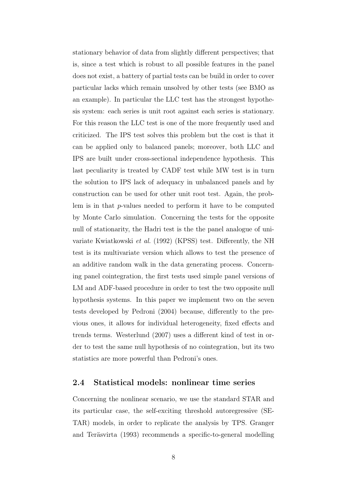stationary behavior of data from slightly different perspectives; that is, since a test which is robust to all possible features in the panel does not exist, a battery of partial tests can be build in order to cover particular lacks which remain unsolved by other tests (see BMO as an example). In particular the LLC test has the strongest hypothesis system: each series is unit root against each series is stationary. For this reason the LLC test is one of the more frequently used and criticized. The IPS test solves this problem but the cost is that it can be applied only to balanced panels; moreover, both LLC and IPS are built under cross-sectional independence hypothesis. This last peculiarity is treated by CADF test while MW test is in turn the solution to IPS lack of adequacy in unbalanced panels and by construction can be used for other unit root test. Again, the problem is in that p-values needed to perform it have to be computed by Monte Carlo simulation. Concerning the tests for the opposite null of stationarity, the Hadri test is the the panel analogue of univariate Kwiatkowski et al. (1992) (KPSS) test. Differently, the NH test is its multivariate version which allows to test the presence of an additive random walk in the data generating process. Concerning panel cointegration, the first tests used simple panel versions of LM and ADF-based procedure in order to test the two opposite null hypothesis systems. In this paper we implement two on the seven tests developed by Pedroni (2004) because, differently to the previous ones, it allows for individual heterogeneity, fixed effects and trends terms. Westerlund (2007) uses a different kind of test in order to test the same null hypothesis of no cointegration, but its two statistics are more powerful than Pedroni's ones.

#### 2.4 Statistical models: nonlinear time series

Concerning the nonlinear scenario, we use the standard STAR and its particular case, the self-exciting threshold autoregressive (SE-TAR) models, in order to replicate the analysis by TPS. Granger and Teräsvirta (1993) recommends a specific-to-general modelling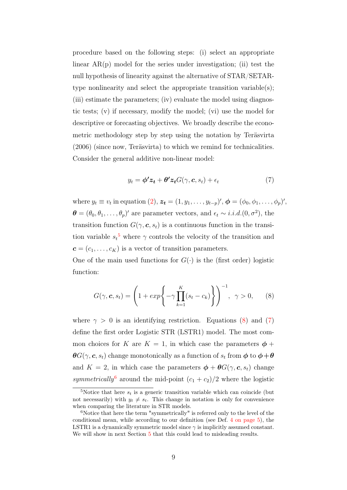procedure based on the following steps: (i) select an appropriate linear AR(p) model for the series under investigation; (ii) test the null hypothesis of linearity against the alternative of STAR/SETARtype nonlinearity and select the appropriate transition variable(s); (iii) estimate the parameters; (iv) evaluate the model using diagnostic tests; (v) if necessary, modify the model; (vi) use the model for descriptive or forecasting objectives. We broadly describe the econometric methodology step by step using the notation by Teräsvirta (2006) (since now, Teräsvirta) to which we remind for technicalities. Consider the general additive non-linear model:

$$
y_t = \phi' z_t + \theta' z_t G(\gamma, \mathbf{c}, s_t) + \epsilon_t \tag{7}
$$

where  $y_t \equiv v_t$  in equation  $(2), z_t = (1, y_1, \ldots, y_{t-p})'$ ,  $\boldsymbol{\phi} = (\phi_0, \phi_1, \ldots, \phi_p)'$ ,  $\boldsymbol{\theta} = (\theta_0, \theta_1, \dots, \theta_p)'$  are parameter vectors, and  $\epsilon_t \sim i.i.d. (0, \sigma^2)$ , the transition function  $G(\gamma, \mathbf{c}, s_t)$  is a continuous function in the transition variable  $s_t^5$  where  $\gamma$  controls the velocity of the transition and  $\mathbf{c} = (c_1, \ldots, c_K)$  is a vector of transition parameters. One of the main used functions for  $G(\cdot)$  is the (first order) logistic

function:

$$
G(\gamma, \mathbf{c}, s_t) = \left(1 + exp\left\{-\gamma \prod_{k=1}^K (s_t - c_k)\right\}\right)^{-1}, \ \gamma > 0, \qquad (8)
$$

where  $\gamma > 0$  is an identifying restriction. Equations (8) and (7) define the first order Logistic STR (LSTR1) model. The most common choices for K are  $K = 1$ , in which case the parameters  $\phi$  +  $\boldsymbol{\theta} G(\gamma, \boldsymbol{c}, s_t)$  change monotonically as a function of  $s_t$  from  $\boldsymbol{\phi}$  to  $\boldsymbol{\phi} + \boldsymbol{\theta}$ and  $K = 2$ , in which case the parameters  $\phi + \theta G(\gamma, c, s_t)$  change symmetrically<sup>6</sup> around the mid-point  $(c_1 + c_2)/2$  where the logistic

<sup>&</sup>lt;sup>5</sup>Notice that here  $s_t$  is a generic transition variable which can coincide (but not necessarily) with  $y_t \neq s_t$ . This change in notation is only for convenience when comparing the literature in STR models.

 $6\%$ Notice that here the term "symmetrically" is referred only to the level of the conditional mean, while according to our definition (see Def. 4 on page 5), the LSTR1 is a dynamically symmetric model since  $\gamma$  is implicitly assumed constant. We will show in next Section 5 that this could lead to misleading results.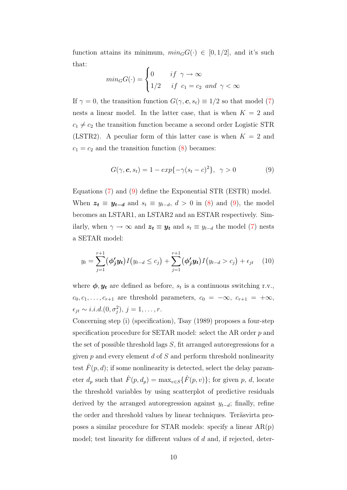function attains its minimum,  $min_G G(\cdot) \in [0, 1/2]$ , and it's such that:

$$
min_G G(\cdot) = \begin{cases} 0 & \text{if } \gamma \to \infty \\ 1/2 & \text{if } c_1 = c_2 \text{ and } \gamma < \infty \end{cases}
$$

If  $\gamma = 0$ , the transition function  $G(\gamma, \mathbf{c}, s_t) \equiv 1/2$  so that model (7) nests a linear model. In the latter case, that is when  $K = 2$  and  $c_1 \neq c_2$  the transition function became a second order Logistic STR (LSTR2). A peculiar form of this latter case is when  $K = 2$  and  $c_1 = c_2$  and the transition function (8) becames:

$$
G(\gamma, \mathbf{c}, s_t) = 1 - exp{-\gamma(s_t - c)^2}, \ \ \gamma > 0 \tag{9}
$$

Equations (7) and (9) define the Exponential STR (ESTR) model. When  $z_t \equiv y_{t-d}$  and  $s_t \equiv y_{t-d}$ ,  $d > 0$  in (8) and (9), the model becomes an LSTAR1, an LSTAR2 and an ESTAR respectively. Similarly, when  $\gamma \to \infty$  and  $z_t \equiv y_t$  and  $s_t \equiv y_{t-d}$  the model (7) nests a SETAR model:

$$
y_t = \sum_{j=1}^{r+1} (\phi'_j y_t) I(y_{t-d} \le c_j) + \sum_{j=1}^{r+1} (\phi'_j y_t) I(y_{t-d} > c_j) + \epsilon_{jt} \quad (10)
$$

where  $\phi, y_t$  are defined as before,  $s_t$  is a continuous switching r.v.,  $c_0, c_1, \ldots, c_{r+1}$  are threshold parameters,  $c_0 = -\infty$ ,  $c_{r+1} = +\infty$ ,  $\epsilon_{jt} \sim i.i.d. (0, \sigma_j^2), j = 1, \ldots, r.$ 

Concerning step (i) (specification), Tsay (1989) proposes a four-step specification procedure for SETAR model: select the AR order p and the set of possible threshold lags  $S$ , fit arranged autoregressions for a given  $p$  and every element  $d$  of  $S$  and perform threshold nonlinearity test  $F(p, d)$ ; if some nonlinearity is detected, select the delay parameter  $d_p$  such that  $\hat{F}(p, d_p) = \max_{v \in S} {\hat{F}(p, v)}$ ; for given p, d, locate the threshold variables by using scatterplot of predictive residuals derived by the arranged autoregression against  $y_{t-d}$ ; finally, refine the order and threshold values by linear techniques. Teräsvirta proposes a similar procedure for STAR models: specify a linear AR(p) model; test linearity for different values of d and, if rejected, deter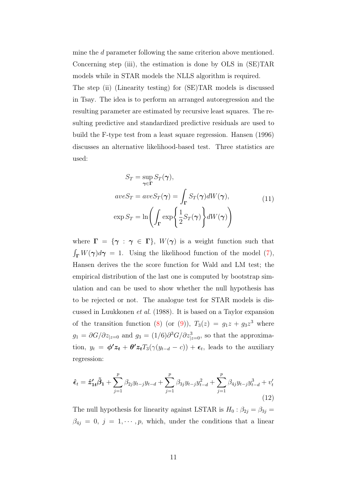mine the d parameter following the same criterion above mentioned. Concerning step (iii), the estimation is done by OLS in (SE)TAR models while in STAR models the NLLS algorithm is required.

The step (ii) (Linearity testing) for (SE)TAR models is discussed in Tsay. The idea is to perform an arranged autoregression and the resulting parameter are estimated by recursive least squares. The resulting predictive and standardized predictive residuals are used to build the F-type test from a least square regression. Hansen (1996) discusses an alternative likelihood-based test. Three statistics are used:

$$
S_T = \sup_{\gamma \in \Gamma} S_T(\gamma),
$$
  
\n
$$
aveS_T = aveS_T(\gamma) = \int_{\Gamma} S_T(\gamma)dW(\gamma),
$$
  
\n
$$
\exp S_T = \ln\left(\int_{\Gamma} \exp\left\{\frac{1}{2}S_T(\gamma)\right\}dW(\gamma)\right)
$$
\n(11)

where  $\Gamma = \{ \gamma : \gamma \in \Gamma \}, W(\gamma)$  is a weight function such that  $\int_{\mathbf{\Gamma}} W(\gamma) d\gamma = 1$ . Using the likelihood function of the model (7), Hansen derives the the score function for Wald and LM test; the empirical distribution of the last one is computed by bootstrap simulation and can be used to show whether the null hypothesis has to be rejected or not. The analogue test for STAR models is discussed in Luukkonen et al. (1988). It is based on a Taylor expansion of the transition function (8) (or (9)),  $T_3(z) = g_1z + g_3z^3$  where  $g_1 = \partial G/\partial z_{|z=0}$  and  $g_3 = (1/6)\partial^3 G/\partial z_{|z=0}^3$ , so that the approximation,  $y_t = \phi' z_t + \theta' z_t T_3(\gamma(y_{t-d} - c)) + \epsilon_t$ , leads to the auxiliary regression:

$$
\hat{\epsilon}_t = \hat{z}_{1t}'\tilde{\beta}_1 + \sum_{j=1}^p \beta_{2j}y_{t-j}y_{t-d} + \sum_{j=1}^p \beta_{3j}y_{t-j}y_{t-d}^2 + \sum_{j=1}^p \beta_{4j}y_{t-j}y_{t-d}^3 + v'_t
$$
\n(12)

The null hypothesis for linearity against LSTAR is  $H_0: \beta_{2j} = \beta_{3j}$  $\beta_{4j} = 0, j = 1, \cdots, p$ , which, under the conditions that a linear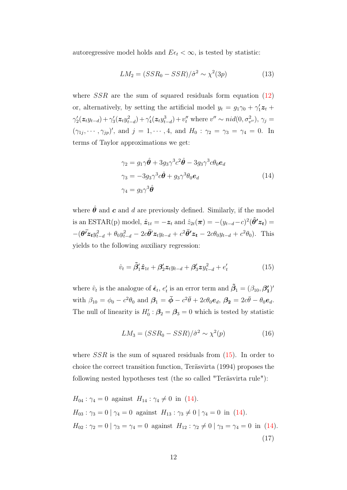autoregressive model holds and  $E\epsilon_t < \infty$ , is tested by statistic:

$$
LM_2 = (SSR_0 - SSR) / \hat{\sigma}^2 \sim \chi^2(3p) \tag{13}
$$

where  $SSR$  are the sum of squared residuals form equation  $(12)$ or, alternatively, by setting the artificial model  $y_t = g_1 \gamma_0 + \gamma_1' z_t +$  $\gamma_2'(z_t y_{t-d}) + \gamma_3'(z_t y_{t-d}^2) + \gamma_4'(z_t y_{t-d}^3) + v_t''$  where  $v'' \sim \text{mid}(0, \sigma_{v''}^2), \gamma_j =$  $(\gamma_{1j}, \dots, \gamma_{jp})'$ , and  $j = 1, \dots, 4$ , and  $H_0 : \gamma_2 = \gamma_3 = \gamma_4 = 0$ . In terms of Taylor approximations we get:

$$
\gamma_2 = g_1 \gamma \hat{\theta} + 3g_3 \gamma^3 c^2 \hat{\theta} - 3g_3 \gamma^3 c \theta_0 e_d
$$
  
\n
$$
\gamma_3 = -3g_3 \gamma^3 c \hat{\theta} + g_3 \gamma^3 \theta_0 e_d
$$
  
\n
$$
\gamma_4 = g_3 \gamma^3 \hat{\theta}
$$
\n(14)

where  $\hat{\theta}$  and  $\boldsymbol{c}$  and  $d$  are previously defined. Similarly, if the model is an ESTAR(p) model,  $\hat{z}_{1t} = -z_t$  and  $\hat{z}_{2t}(\pi) = -(y_{t-d}-c)^2(\hat{\theta}^{\prime}z_t)$  $-(\boldsymbol{\theta}^T \mathbf{z}_t y_{t-d}^2 + \theta_0 y_{t-d}^2 - 2c \boldsymbol{\bar{\theta}}' \mathbf{z}_t y_{t-d} + c^2 \boldsymbol{\bar{\theta}}' \mathbf{z}_t - 2c \theta_0 y_{t-d} + c^2 \theta_0).$  This yields to the following auxiliary regression:

$$
\hat{v}_t = \tilde{\beta}'_1 \hat{\mathbf{z}}_{1t} + \beta'_2 \mathbf{z}_t y_{t-d} + \beta'_3 \mathbf{z} y_{t-d}^2 + e'_t \tag{15}
$$

where  $\hat{v}_t$  is the analogue of  $\hat{\epsilon}_t$ ,  $e'_t$  is an error term and  $\tilde{\beta}_1 = (\beta_{10}, \beta_1)$  $\binom{7}{1}$ with  $\beta_{10} = \phi_0 - c^2 \theta_0$  and  $\beta_1 = \bar{\phi} - c^2 \bar{\theta} + 2c \theta_0 e_d$ ,  $\beta_2 = 2c \bar{\theta} - \theta_0 e_d$ . The null of linearity is  $H'_0$ :  $\beta_2 = \beta_3 = 0$  which is tested by statistic

$$
LM_3 = (SSR_0 - SSR) / \hat{\sigma}^2 \sim \chi^2(p) \tag{16}
$$

where  $SSR$  is the sum of squared residuals from  $(15)$ . In order to choice the correct transition function, Teräsvirta (1994) proposes the following nested hypotheses test (the so called "Teräsvirta rule"):

$$
H_{04} : \gamma_4 = 0 \text{ against } H_{14} : \gamma_4 \neq 0 \text{ in (14).}
$$
  
\n
$$
H_{03} : \gamma_3 = 0 \mid \gamma_4 = 0 \text{ against } H_{13} : \gamma_3 \neq 0 \mid \gamma_4 = 0 \text{ in (14).}
$$
  
\n
$$
H_{02} : \gamma_2 = 0 \mid \gamma_3 = \gamma_4 = 0 \text{ against } H_{12} : \gamma_2 \neq 0 \mid \gamma_3 = \gamma_4 = 0 \text{ in (14).}
$$
  
\n(17)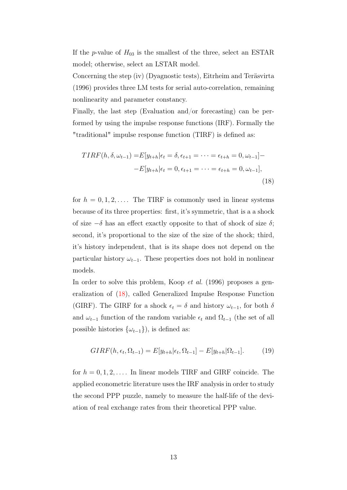If the p-value of  $H_{03}$  is the smallest of the three, select an ESTAR model; otherwise, select an LSTAR model.

Concerning the step (iv) (Dyagnostic tests), Eitrheim and Teräsvirta (1996) provides three LM tests for serial auto-correlation, remaining nonlinearity and parameter constancy.

Finally, the last step (Evaluation and/or forecasting) can be performed by using the impulse response functions (IRF). Formally the "traditional" impulse response function (TIRF) is defined as:

$$
TIRF(h, \delta, \omega_{t-1}) = E[y_{t+h}|\epsilon_t = \delta, \epsilon_{t+1} = \dots = \epsilon_{t+h} = 0, \omega_{t-1}] -
$$

$$
-E[y_{t+h}|\epsilon_t = 0, \epsilon_{t+1} = \dots = \epsilon_{t+h} = 0, \omega_{t-1}],
$$
(18)

for  $h = 0, 1, 2, \ldots$  The TIRF is commonly used in linear systems because of its three properties: first, it's symmetric, that is a a shock of size  $-\delta$  has an effect exactly opposite to that of shock of size  $\delta$ ; second, it's proportional to the size of the size of the shock; third, it's history independent, that is its shape does not depend on the particular history  $\omega_{t-1}$ . These properties does not hold in nonlinear models.

In order to solve this problem, Koop *et al.* (1996) proposes a generalization of (18), called Generalized Impulse Response Function (GIRF). The GIRF for a shock  $\epsilon_t = \delta$  and history  $\omega_{t-1}$ , for both  $\delta$ and  $\omega_{t-1}$  function of the random variable  $\epsilon_t$  and  $\Omega_{t-1}$  (the set of all possible histories  $\{\omega_{t-1}\}\)$ , is defined as:

$$
GIRF(h, \epsilon_t, \Omega_{t-1}) = E[y_{t+h}|\epsilon_t, \Omega_{t-1}] - E[y_{t+h}|\Omega_{t-1}].
$$
 (19)

for  $h = 0, 1, 2, \ldots$  In linear models TIRF and GIRF coincide. The applied econometric literature uses the IRF analysis in order to study the second PPP puzzle, namely to measure the half-life of the deviation of real exchange rates from their theoretical PPP value.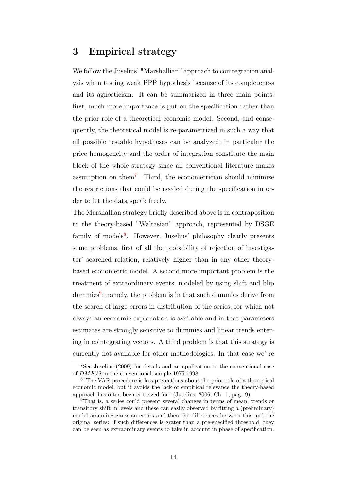### 3 Empirical strategy

We follow the Juselius' "Marshallian" approach to cointegration analysis when testing weak PPP hypothesis because of its completeness and its agnosticism. It can be summarized in three main points: first, much more importance is put on the specification rather than the prior role of a theoretical economic model. Second, and consequently, the theoretical model is re-parametrized in such a way that all possible testable hypotheses can be analyzed; in particular the price homogeneity and the order of integration constitute the main block of the whole strategy since all conventional literature makes assumption on them<sup>7</sup> . Third, the econometrician should minimize the restrictions that could be needed during the specification in order to let the data speak freely.

The Marshallian strategy briefly described above is in contraposition to the theory-based "Walrasian" approach, represented by DSGE family of models<sup>8</sup>. However, Juselius' philosophy clearly presents some problems, first of all the probability of rejection of investigator' searched relation, relatively higher than in any other theorybased econometric model. A second more important problem is the treatment of extraordinary events, modeled by using shift and blip dummies<sup>9</sup>; namely, the problem is in that such dummies derive from the search of large errors in distribution of the series, for which not always an economic explanation is available and in that parameters estimates are strongly sensitive to dummies and linear trends entering in cointegrating vectors. A third problem is that this strategy is currently not available for other methodologies. In that case we' re

<sup>7</sup>See Juselius (2009) for details and an application to the conventional case of DMK/\$ in the conventional sample 1975-1998.

<sup>8</sup>"The VAR procedure is less pretentious about the prior role of a theoretical economic model, but it avoids the lack of empirical relevance the theory-based approach has often been criticized for" (Juselius, 2006, Ch. 1, pag. 9)

<sup>9</sup>That is, a series could present several changes in terms of mean, trends or transitory shift in levels and these can easily observed by fitting a (preliminary) model assuming gaussian errors and then the differences between this and the original series: if such differences is grater than a pre-specified threshold, they can be seen as extraordinary events to take in account in phase of specification.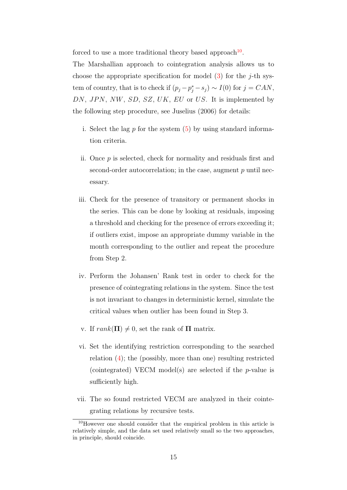forced to use a more traditional theory based approach<sup>10</sup>.

The Marshallian approach to cointegration analysis allows us to choose the appropriate specification for model  $(3)$  for the j-th system of country, that is to check if  $(p_j - p_j^* - s_j) \sim I(0)$  for  $j = CAN$ ,  $DN, JPN, NW, SD, SZ, UK, EU$  or US. It is implemented by the following step procedure, see Juselius (2006) for details:

- i. Select the lag  $p$  for the system  $(5)$  by using standard information criteria.
- ii. Once p is selected, check for normality and residuals first and second-order autocorrelation; in the case, augment p until necessary.
- iii. Check for the presence of transitory or permanent shocks in the series. This can be done by looking at residuals, imposing a threshold and checking for the presence of errors exceeding it; if outliers exist, impose an appropriate dummy variable in the month corresponding to the outlier and repeat the procedure from Step 2.
- iv. Perform the Johansen' Rank test in order to check for the presence of cointegrating relations in the system. Since the test is not invariant to changes in deterministic kernel, simulate the critical values when outlier has been found in Step 3.
- v. If  $rank(\Pi) \neq 0$ , set the rank of  $\Pi$  matrix.
- vi. Set the identifying restriction corresponding to the searched relation (4); the (possibly, more than one) resulting restricted (cointegrated) VECM model(s) are selected if the  $p$ -value is sufficiently high.
- vii. The so found restricted VECM are analyzed in their cointegrating relations by recursive tests.

<sup>10</sup>However one should consider that the empirical problem in this article is relatively simple, and the data set used relatively small so the two approaches, in principle, should coincide.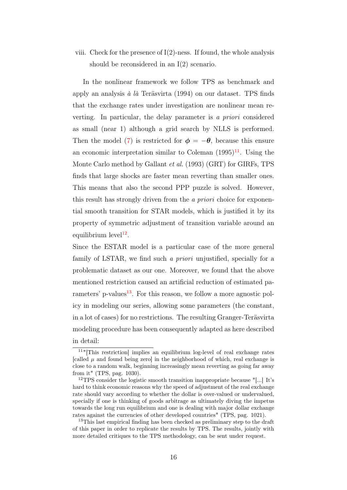viii. Check for the presence of  $I(2)$ -ness. If found, the whole analysis should be reconsidered in an  $I(2)$  scenario.

In the nonlinear framework we follow TPS as benchmark and apply an analysis à là Teräsvirta (1994) on our dataset. TPS finds that the exchange rates under investigation are nonlinear mean reverting. In particular, the delay parameter is a priori considered as small (near 1) although a grid search by NLLS is performed. Then the model (7) is restricted for  $\phi = -\theta$ , because this ensure an economic interpretation similar to Coleman  $(1995)^{11}$ . Using the Monte Carlo method by Gallant *et al.* (1993) (GRT) for GIRFs, TPS finds that large shocks are faster mean reverting than smaller ones. This means that also the second PPP puzzle is solved. However, this result has strongly driven from the *a priori* choice for exponential smooth transition for STAR models, which is justified it by its property of symmetric adjustment of transition variable around an equilibrium level<sup>12</sup>.

Since the ESTAR model is a particular case of the more general family of LSTAR, we find such a *priori* unjustified, specially for a problematic dataset as our one. Moreover, we found that the above mentioned restriction caused an artificial reduction of estimated parameters' p-values<sup>13</sup>. For this reason, we follow a more agnostic policy in modeling our series, allowing some parameters (the constant, in a lot of cases) for no restrictions. The resulting Granger-Teräsvirta modeling procedure has been consequently adapted as here described in detail:

<sup>11</sup>"[This restriction] implies an equilibrium log-level of real exchange rates [called  $\mu$  and found being zero] in the neighborhood of which, real exchange is close to a random walk, beginning increasingly mean reverting as going far away from it" (TPS, pag. 1030).

<sup>12</sup>TPS consider the logistic smooth transition inappropriate because "[...] It's hard to think economic reasons why the speed of adjustment of the real exchange rate should vary according to whether the dollar is over-valued or undervalued, specially if one is thinking of goods arbitrage as ultimately diving the impetus towards the long run equilibrium and one is dealing with major dollar exchange rates against the currencies of other developed countries" (TPS, pag. 1021).

<sup>&</sup>lt;sup>13</sup>This last empirical finding has been checked as preliminary step to the draft of this paper in order to replicate the results by TPS. The results, jointly with more detailed critiques to the TPS methodology, can be sent under request.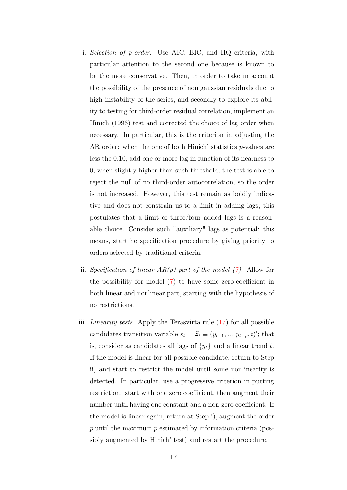- i. Selection of p-order. Use AIC, BIC, and HQ criteria, with particular attention to the second one because is known to be the more conservative. Then, in order to take in account the possibility of the presence of non gaussian residuals due to high instability of the series, and secondly to explore its ability to testing for third-order residual correlation, implement an Hinich (1996) test and corrected the choice of lag order when necessary. In particular, this is the criterion in adjusting the AR order: when the one of both Hinich' statistics p-values are less the 0.10, add one or more lag in function of its nearness to 0; when slightly higher than such threshold, the test is able to reject the null of no third-order autocorrelation, so the order is not increased. However, this test remain as boldly indicative and does not constrain us to a limit in adding lags; this postulates that a limit of three/four added lags is a reasonable choice. Consider such "auxiliary" lags as potential: this means, start he specification procedure by giving priority to orders selected by traditional criteria.
- ii. Specification of linear  $AR(p)$  part of the model  $(7)$ . Allow for the possibility for model (7) to have some zero-coefficient in both linear and nonlinear part, starting with the hypothesis of no restrictions.
- iii. Linearity tests. Apply the Teräsvirta rule (17) for all possible candidates transition variable  $s_t = \tilde{z}_t \equiv (y_{t-1}, ..., y_{t-p}, t)'$ ; that is, consider as candidates all lags of  $\{y_t\}$  and a linear trend t. If the model is linear for all possible candidate, return to Step ii) and start to restrict the model until some nonlinearity is detected. In particular, use a progressive criterion in putting restriction: start with one zero coefficient, then augment their number until having one constant and a non-zero coefficient. If the model is linear again, return at Step i), augment the order  $p$  until the maximum  $p$  estimated by information criteria (possibly augmented by Hinich' test) and restart the procedure.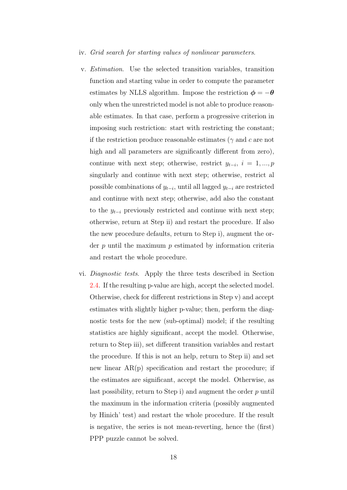- iv. Grid search for starting values of nonlinear parameters.
- v. Estimation. Use the selected transition variables, transition function and starting value in order to compute the parameter estimates by NLLS algorithm. Impose the restriction  $\phi = -\theta$ only when the unrestricted model is not able to produce reasonable estimates. In that case, perform a progressive criterion in imposing such restriction: start with restricting the constant; if the restriction produce reasonable estimates ( $\gamma$  and c are not high and all parameters are significantly different from zero), continue with next step; otherwise, restrict  $y_{t-i}, i = 1, ..., p$ singularly and continue with next step; otherwise, restrict al possible combinations of  $y_{t-i}$ , until all lagged  $y_{t-i}$  are restricted and continue with next step; otherwise, add also the constant to the  $y_{t-i}$  previously restricted and continue with next step; otherwise, return at Step ii) and restart the procedure. If also the new procedure defaults, return to Step i), augment the order  $p$  until the maximum  $p$  estimated by information criteria and restart the whole procedure.
- vi. Diagnostic tests. Apply the three tests described in Section 2.4. If the resulting p-value are high, accept the selected model. Otherwise, check for different restrictions in Step v) and accept estimates with slightly higher p-value; then, perform the diagnostic tests for the new (sub-optimal) model; if the resulting statistics are highly significant, accept the model. Otherwise, return to Step iii), set different transition variables and restart the procedure. If this is not an help, return to Step ii) and set new linear  $AR(p)$  specification and restart the procedure; if the estimates are significant, accept the model. Otherwise, as last possibility, return to Step i) and augment the order  $p$  until the maximum in the information criteria (possibly augmented by Hinich' test) and restart the whole procedure. If the result is negative, the series is not mean-reverting, hence the (first) PPP puzzle cannot be solved.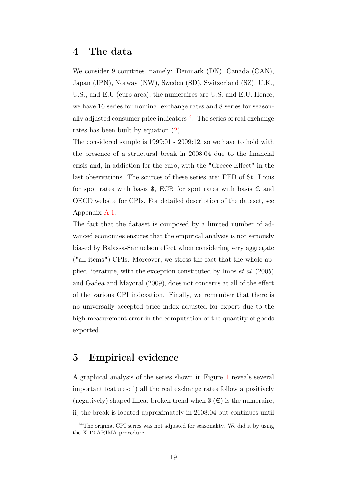### 4 The data

We consider 9 countries, namely: Denmark (DN), Canada (CAN), Japan (JPN), Norway (NW), Sweden (SD), Switzerland (SZ), U.K., U.S., and E.U (euro area); the numeraires are U.S. and E.U. Hence, we have 16 series for nominal exchange rates and 8 series for seasonally adjusted consumer price indicators<sup>14</sup>. The series of real exchange rates has been built by equation (2).

The considered sample is 1999:01 - 2009:12, so we have to hold with the presence of a structural break in 2008:04 due to the financial crisis and, in addiction for the euro, with the "Greece Effect" in the last observations. The sources of these series are: FED of St. Louis for spot rates with basis \$, ECB for spot rates with basis  $\epsilon$  and OECD website for CPIs. For detailed description of the dataset, see Appendix A.1.

The fact that the dataset is composed by a limited number of advanced economies ensures that the empirical analysis is not seriously biased by Balassa-Samuelson effect when considering very aggregate ("all items") CPIs. Moreover, we stress the fact that the whole applied literature, with the exception constituted by Imbs et al. (2005) and Gadea and Mayoral (2009), does not concerns at all of the effect of the various CPI indexation. Finally, we remember that there is no universally accepted price index adjusted for export due to the high measurement error in the computation of the quantity of goods exported.

## 5 Empirical evidence

A graphical analysis of the series shown in Figure 1 reveals several important features: i) all the real exchange rates follow a positively (negatively) shaped linear broken trend when  $\mathcal{F}(\epsilon)$  is the numeraire; ii) the break is located approximately in 2008:04 but continues until

<sup>&</sup>lt;sup>14</sup>The original CPI series was not adjusted for seasonality. We did it by using the X-12 ARIMA procedure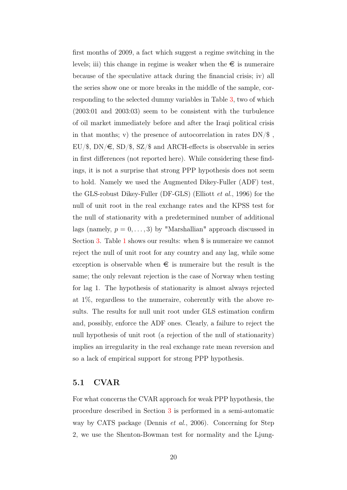first months of 2009, a fact which suggest a regime switching in the levels; iii) this change in regime is weaker when the  $\epsilon$  is numeraire because of the speculative attack during the financial crisis; iv) all the series show one or more breaks in the middle of the sample, corresponding to the selected dummy variables in Table 3, two of which (2003:01 and 2003:03) seem to be consistent with the turbulence of oil market immediately before and after the Iraqi political crisis in that months; v) the presence of autocorrelation in rates DN/\$ , EU/\$, DN/ $\in$ , SD/\$, SZ/\$ and ARCH-effects is observable in series in first differences (not reported here). While considering these findings, it is not a surprise that strong PPP hypothesis does not seem to hold. Namely we used the Augmented Dikey-Fuller (ADF) test, the GLS-robust Dikey-Fuller (DF-GLS) (Elliott et al., 1996) for the null of unit root in the real exchange rates and the KPSS test for the null of stationarity with a predetermined number of additional lags (namely,  $p = 0, \ldots, 3$ ) by "Marshallian" approach discussed in Section 3. Table 1 shows our results: when  $\frac{1}{3}$  is numeraire we cannot reject the null of unit root for any country and any lag, while some exception is observable when  $\epsilon$  is numeraire but the result is the same; the only relevant rejection is the case of Norway when testing for lag 1. The hypothesis of stationarity is almost always rejected at 1%, regardless to the numeraire, coherently with the above results. The results for null unit root under GLS estimation confirm and, possibly, enforce the ADF ones. Clearly, a failure to reject the null hypothesis of unit root (a rejection of the null of stationarity) implies an irregularity in the real exchange rate mean reversion and so a lack of empirical support for strong PPP hypothesis.

#### 5.1 CVAR

For what concerns the CVAR approach for weak PPP hypothesis, the procedure described in Section 3 is performed in a semi-automatic way by CATS package (Dennis *et al.*, 2006). Concerning for Step 2, we use the Shenton-Bowman test for normality and the Ljung-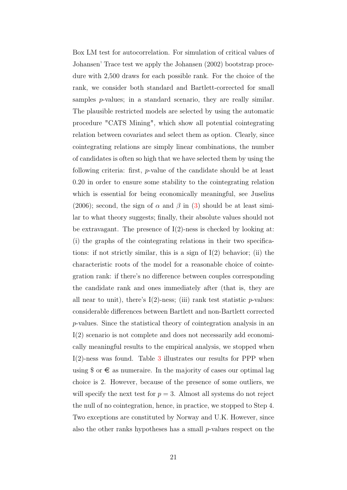Box LM test for autocorrelation. For simulation of critical values of Johansen' Trace test we apply the Johansen (2002) bootstrap procedure with 2,500 draws for each possible rank. For the choice of the rank, we consider both standard and Bartlett-corrected for small samples *p*-values; in a standard scenario, they are really similar. The plausible restricted models are selected by using the automatic procedure "CATS Mining", which show all potential cointegrating relation between covariates and select them as option. Clearly, since cointegrating relations are simply linear combinations, the number of candidates is often so high that we have selected them by using the following criteria: first, p-value of the candidate should be at least 0.20 in order to ensure some stability to the cointegrating relation which is essential for being economically meaningful, see Juselius (2006); second, the sign of  $\alpha$  and  $\beta$  in (3) should be at least similar to what theory suggests; finally, their absolute values should not be extravagant. The presence of  $I(2)$ -ness is checked by looking at: (i) the graphs of the cointegrating relations in their two specifications: if not strictly similar, this is a sign of  $I(2)$  behavior; (ii) the characteristic roots of the model for a reasonable choice of cointegration rank: if there's no difference between couples corresponding the candidate rank and ones immediately after (that is, they are all near to unit), there's  $I(2)$ -ness; (iii) rank test statistic *p*-values: considerable differences between Bartlett and non-Bartlett corrected p-values. Since the statistical theory of cointegration analysis in an I(2) scenario is not complete and does not necessarily add economically meaningful results to the empirical analysis, we stopped when I(2)-ness was found. Table 3 illustrates our results for PPP when using  $\mathcal{F}$  or  $\epsilon$  as numeraire. In the majority of cases our optimal lag choice is 2. However, because of the presence of some outliers, we will specify the next test for  $p = 3$ . Almost all systems do not reject the null of no cointegration, hence, in practice, we stopped to Step 4. Two exceptions are constituted by Norway and U.K. However, since also the other ranks hypotheses has a small p-values respect on the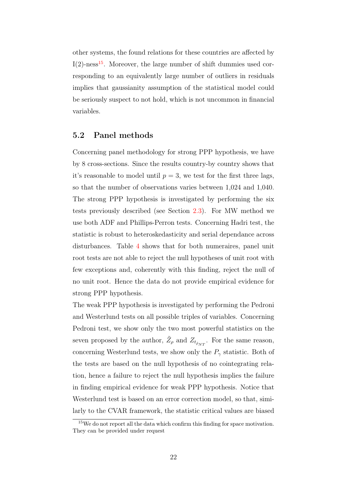other systems, the found relations for these countries are affected by  $I(2)$ -ness<sup>15</sup>. Moreover, the large number of shift dummies used corresponding to an equivalently large number of outliers in residuals implies that gaussianity assumption of the statistical model could be seriously suspect to not hold, which is not uncommon in financial variables.

#### 5.2 Panel methods

Concerning panel methodology for strong PPP hypothesis, we have by 8 cross-sections. Since the results country-by country shows that it's reasonable to model until  $p = 3$ , we test for the first three lags, so that the number of observations varies between 1,024 and 1,040. The strong PPP hypothesis is investigated by performing the six tests previously described (see Section 2.3). For MW method we use both ADF and Phillips-Perron tests. Concerning Hadri test, the statistic is robust to heteroskedasticity and serial dependance across disturbances. Table 4 shows that for both numeraires, panel unit root tests are not able to reject the null hypotheses of unit root with few exceptions and, coherently with this finding, reject the null of no unit root. Hence the data do not provide empirical evidence for strong PPP hypothesis.

The weak PPP hypothesis is investigated by performing the Pedroni and Westerlund tests on all possible triples of variables. Concerning Pedroni test, we show only the two most powerful statistics on the seven proposed by the author,  $\tilde{Z}_{\rho}$  and  $Z_{t_{\hat{\rho}_{NT}}}$ . For the same reason, concerning Westerlund tests, we show only the  $P_{\gamma}$  statistic. Both of the tests are based on the null hypothesis of no cointegrating relation, hence a failure to reject the null hypothesis implies the failure in finding empirical evidence for weak PPP hypothesis. Notice that Westerlund test is based on an error correction model, so that, similarly to the CVAR framework, the statistic critical values are biased

<sup>&</sup>lt;sup>15</sup>We do not report all the data which confirm this finding for space motivation. They can be provided under request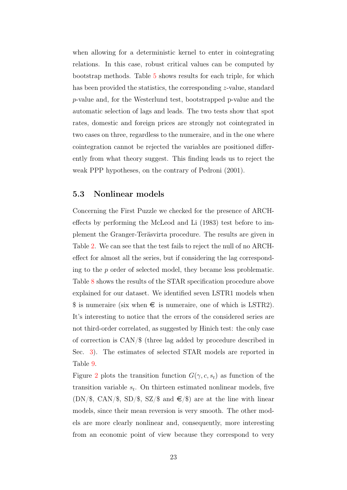when allowing for a deterministic kernel to enter in cointegrating relations. In this case, robust critical values can be computed by bootstrap methods. Table 5 shows results for each triple, for which has been provided the statistics, the corresponding z-value, standard p-value and, for the Westerlund test, bootstrapped p-value and the automatic selection of lags and leads. The two tests show that spot rates, domestic and foreign prices are strongly not cointegrated in two cases on three, regardless to the numeraire, and in the one where cointegration cannot be rejected the variables are positioned differently from what theory suggest. This finding leads us to reject the weak PPP hypotheses, on the contrary of Pedroni (2001).

#### 5.3 Nonlinear models

Concerning the First Puzzle we checked for the presence of ARCHeffects by performing the McLeod and Li (1983) test before to implement the Granger-Teräsvirta procedure. The results are given in Table 2. We can see that the test fails to reject the null of no ARCHeffect for almost all the series, but if considering the lag corresponding to the p order of selected model, they became less problematic. Table 8 shows the results of the STAR specification procedure above explained for our dataset. We identified seven LSTR1 models when  $\$$  is numeraire (six when  $\epsilon$  is numeraire, one of which is LSTR2). It's interesting to notice that the errors of the considered series are not third-order correlated, as suggested by Hinich test: the only case of correction is CAN/\$ (three lag added by procedure described in Sec. 3). The estimates of selected STAR models are reported in Table 9.

Figure 2 plots the transition function  $G(\gamma, c, s_t)$  as function of the transition variable  $s_t$ . On thirteen estimated nonlinear models, five (DN/\$, CAN/\$, SD/\$, SZ/\$ and  $\epsilon$ /\$) are at the line with linear models, since their mean reversion is very smooth. The other models are more clearly nonlinear and, consequently, more interesting from an economic point of view because they correspond to very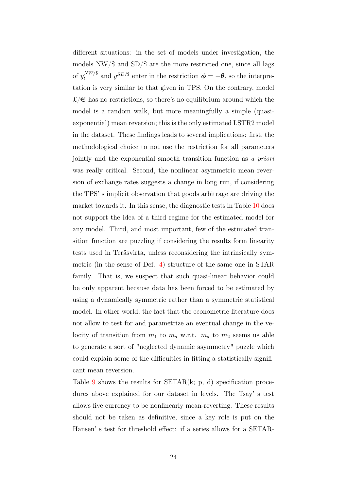different situations: in the set of models under investigation, the models NW/\$ and SD/\$ are the more restricted one, since all lags of  $y_t^{NW/\$}$  and  $y^{SD/\$}$  enter in the restriction  $\boldsymbol{\phi} = -\boldsymbol{\theta}$ , so the interpretation is very similar to that given in TPS. On the contrary, model  $\pounds/\pounds$  has no restrictions, so there's no equilibrium around which the model is a random walk, but more meaningfully a simple (quasiexponential) mean reversion; this is the only estimated LSTR2 model in the dataset. These findings leads to several implications: first, the methodological choice to not use the restriction for all parameters jointly and the exponential smooth transition function as a priori was really critical. Second, the nonlinear asymmetric mean reversion of exchange rates suggests a change in long run, if considering the TPS' s implicit observation that goods arbitrage are driving the market towards it. In this sense, the diagnostic tests in Table 10 does not support the idea of a third regime for the estimated model for any model. Third, and most important, few of the estimated transition function are puzzling if considering the results form linearity tests used in Teräsvirta, unless reconsidering the intrinsically symmetric (in the sense of Def. 4) structure of the same one in STAR family. That is, we suspect that such quasi-linear behavior could be only apparent because data has been forced to be estimated by using a dynamically symmetric rather than a symmetric statistical model. In other world, the fact that the econometric literature does not allow to test for and parametrize an eventual change in the velocity of transition from  $m_1$  to  $m_a$  w.r.t.  $m_a$  to  $m_2$  seems us able to generate a sort of "neglected dynamic asymmetry" puzzle which could explain some of the difficulties in fitting a statistically significant mean reversion.

Table  $9$  shows the results for  $SETAR(k; p, d)$  specification procedures above explained for our dataset in levels. The Tsay' s test allows five currency to be nonlinearly mean-reverting. These results should not be taken as definitive, since a key role is put on the Hansen' s test for threshold effect: if a series allows for a SETAR-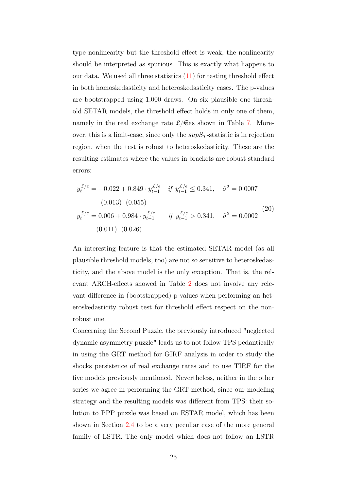type nonlinearity but the threshold effect is weak, the nonlinearity should be interpreted as spurious. This is exactly what happens to our data. We used all three statistics (11) for testing threshold effect in both homoskedasticity and heteroskedasticity cases. The p-values are bootstrapped using 1,000 draws. On six plausible one threshold SETAR models, the threshold effect holds in only one of them, namely in the real exchange rate  $\pounds/\pmb{\epsilon}$  as shown in Table 7. Moreover, this is a limit-case, since only the  $supS_T$ -statistic is in rejection region, when the test is robust to heteroskedasticity. These are the resulting estimates where the values in brackets are robust standard errors:

$$
y_t^{\mathcal{L}/e} = -0.022 + 0.849 \cdot y_{t-1}^{\mathcal{L}/e} \quad \text{if } y_{t-1}^{\mathcal{L}/e} \le 0.341, \quad \hat{\sigma}^2 = 0.0007
$$
  
(0.013) (0.055)  

$$
y_t^{\mathcal{L}/e} = 0.006 + 0.984 \cdot y_{t-1}^{\mathcal{L}/e} \quad \text{if } y_{t-1}^{\mathcal{L}/e} > 0.341, \quad \hat{\sigma}^2 = 0.0002
$$
  
(0.011) (0.026)

An interesting feature is that the estimated SETAR model (as all plausible threshold models, too) are not so sensitive to heteroskedasticity, and the above model is the only exception. That is, the relevant ARCH-effects showed in Table 2 does not involve any relevant difference in (bootstrapped) p-values when performing an heteroskedasticity robust test for threshold effect respect on the nonrobust one.

Concerning the Second Puzzle, the previously introduced "neglected dynamic asymmetry puzzle" leads us to not follow TPS pedantically in using the GRT method for GIRF analysis in order to study the shocks persistence of real exchange rates and to use TIRF for the five models previously mentioned. Nevertheless, neither in the other series we agree in performing the GRT method, since our modeling strategy and the resulting models was different from TPS: their solution to PPP puzzle was based on ESTAR model, which has been shown in Section 2.4 to be a very peculiar case of the more general family of LSTR. The only model which does not follow an LSTR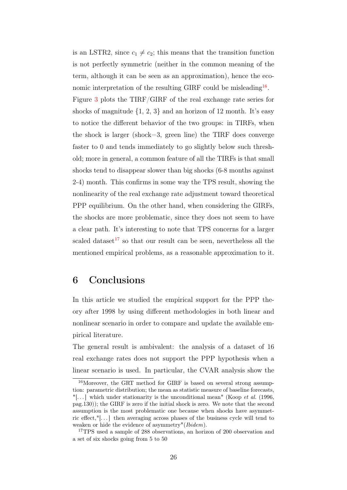is an LSTR2, since  $c_1 \neq c_2$ ; this means that the transition function is not perfectly symmetric (neither in the common meaning of the term, although it can be seen as an approximation), hence the economic interpretation of the resulting GIRF could be misleading<sup>16</sup>. Figure 3 plots the TIRF/GIRF of the real exchange rate series for shocks of magnitude  $\{1, 2, 3\}$  and an horizon of 12 month. It's easy to notice the different behavior of the two groups: in TIRFs, when the shock is larger (shock=3, green line) the TIRF does converge faster to 0 and tends immediately to go slightly below such threshold; more in general, a common feature of all the TIRFs is that small shocks tend to disappear slower than big shocks (6-8 months against 2-4) month. This confirms in some way the TPS result, showing the nonlinearity of the real exchange rate adjustment toward theoretical PPP equilibrium. On the other hand, when considering the GIRFs, the shocks are more problematic, since they does not seem to have a clear path. It's interesting to note that TPS concerns for a larger scaled dataset<sup>17</sup> so that our result can be seen, nevertheless all the mentioned empirical problems, as a reasonable approximation to it.

## 6 Conclusions

In this article we studied the empirical support for the PPP theory after 1998 by using different methodologies in both linear and nonlinear scenario in order to compare and update the available empirical literature.

The general result is ambivalent: the analysis of a dataset of 16 real exchange rates does not support the PPP hypothesis when a linear scenario is used. In particular, the CVAR analysis show the

<sup>&</sup>lt;sup>16</sup>Moreover, the GRT method for GIRF is based on several strong assumption: parametric distribution; the mean as statistic measure of baseline forecasts, "[...] which under stationarity is the unconditional mean" (Koop *et al.* (1996, pag.130)); the GIRF is zero if the initial shock is zero. We note that the second assumption is the most problematic one because when shocks have asymmetric effect,"[. . . ] then averaging across phases of the business cycle will tend to weaken or hide the evidence of asymmetry"(Ibidem).

<sup>&</sup>lt;sup>17</sup>TPS used a sample of 288 observations, an horizon of 200 observation and a set of six shocks going from 5 to 50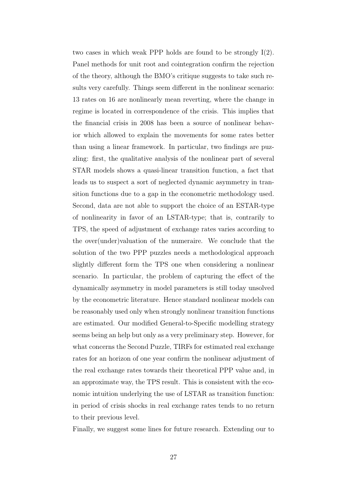two cases in which weak PPP holds are found to be strongly I(2). Panel methods for unit root and cointegration confirm the rejection of the theory, although the BMO's critique suggests to take such results very carefully. Things seem different in the nonlinear scenario: 13 rates on 16 are nonlinearly mean reverting, where the change in regime is located in correspondence of the crisis. This implies that the financial crisis in 2008 has been a source of nonlinear behavior which allowed to explain the movements for some rates better than using a linear framework. In particular, two findings are puzzling: first, the qualitative analysis of the nonlinear part of several STAR models shows a quasi-linear transition function, a fact that leads us to suspect a sort of neglected dynamic asymmetry in transition functions due to a gap in the econometric methodology used. Second, data are not able to support the choice of an ESTAR-type of nonlinearity in favor of an LSTAR-type; that is, contrarily to TPS, the speed of adjustment of exchange rates varies according to the over(under)valuation of the numeraire. We conclude that the solution of the two PPP puzzles needs a methodological approach slightly different form the TPS one when considering a nonlinear scenario. In particular, the problem of capturing the effect of the dynamically asymmetry in model parameters is still today unsolved by the econometric literature. Hence standard nonlinear models can be reasonably used only when strongly nonlinear transition functions are estimated. Our modified General-to-Specific modelling strategy seems being an help but only as a very preliminary step. However, for what concerns the Second Puzzle, TIRFs for estimated real exchange rates for an horizon of one year confirm the nonlinear adjustment of the real exchange rates towards their theoretical PPP value and, in an approximate way, the TPS result. This is consistent with the economic intuition underlying the use of LSTAR as transition function: in period of crisis shocks in real exchange rates tends to no return to their previous level.

Finally, we suggest some lines for future research. Extending our to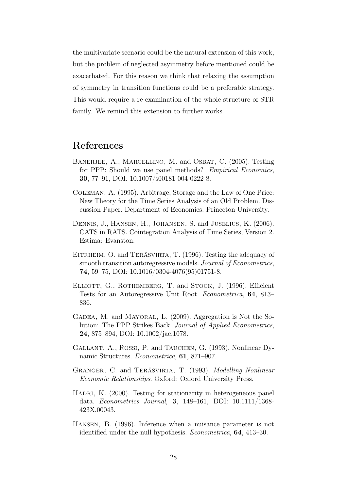the multivariate scenario could be the natural extension of this work, but the problem of neglected asymmetry before mentioned could be exacerbated. For this reason we think that relaxing the assumption of symmetry in transition functions could be a preferable strategy. This would require a re-examination of the whole structure of STR family. We remind this extension to further works.

## References

- BANERJEE, A., MARCELLINO, M. and OSBAT, C. (2005). Testing for PPP: Should we use panel methods? *Empirical Economics*, 30, 77–91, DOI: 10.1007/s00181-004-0222-8.
- Coleman, A. (1995). Arbitrage, Storage and the Law of One Price: New Theory for the Time Series Analysis of an Old Problem. Discussion Paper. Department of Economics. Princeton University.
- DENNIS, J., HANSEN, H., JOHANSEN, S. and JUSELIUS, K. (2006). CATS in RATS. Cointegration Analysis of Time Series, Version 2. Estima: Evanston.
- EITRHEIM, O. and TERÄSVIRTA, T. (1996). Testing the adequacy of smooth transition autoregressive models. Journal of Econometrics, 74, 59–75, DOI: 10.1016/0304-4076(95)01751-8.
- ELLIOTT, G., ROTHEMBERG, T. and STOCK, J. (1996). Efficient Tests for an Autoregressive Unit Root. Econometrica, 64, 813– 836.
- Gadea, M. and Mayoral, L. (2009). Aggregation is Not the Solution: The PPP Strikes Back. Journal of Applied Econometrics, 24, 875–894, DOI: 10.1002/jae.1078.
- GALLANT, A., ROSSI, P. and TAUCHEN, G. (1993). Nonlinear Dynamic Structures. Econometrica, 61, 871–907.
- GRANGER, C. and TERÄSVIRTA, T. (1993). Modelling Nonlinear Economic Relationships. Oxford: Oxford University Press.
- HADRI, K. (2000). Testing for stationarity in heterogeneous panel data. Econometrics Journal, 3, 148–161, DOI: 10.1111/1368- 423X.00043.
- Hansen, B. (1996). Inference when a nuisance parameter is not identified under the null hypothesis. Econometrica, 64, 413–30.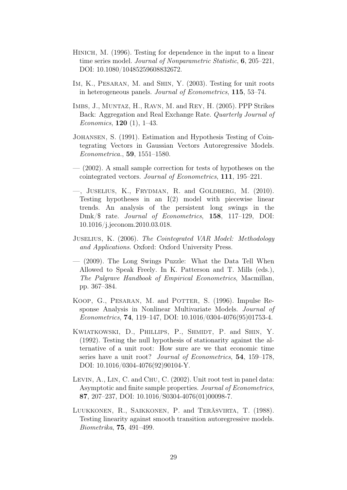- HINICH, M. (1996). Testing for dependence in the input to a linear time series model. Journal of Nonparametric Statistic, 6, 205–221, DOI: 10.1080/10485259608832672.
- IM, K., PESARAN, M. and SHIN, Y. (2003). Testing for unit roots in heterogeneous panels. Journal of Econometrics, 115, 53–74.
- Imbs, J., Muntaz, H., Ravn, M. and Rey, H. (2005). PPP Strikes Back: Aggregation and Real Exchange Rate. Quarterly Journal of *Economics*, **120** (1), 1–43.
- Johansen, S. (1991). Estimation and Hypothesis Testing of Cointegrating Vectors in Gaussian Vectors Autoregressive Models. Econometrica., 59, 1551–1580.
- (2002). A small sample correction for tests of hypotheses on the cointegrated vectors. Journal of Econometrics, 111, 195–221.
- —, Juselius, K., Frydman, R. and Goldberg, M. (2010). Testing hypotheses in an I(2) model with piecewise linear trends. An analysis of the persistent long swings in the Dmk/\$ rate. Journal of Econometrics, 158, 117–129, DOI: 10.1016/j.jeconom.2010.03.018.
- Juselius, K. (2006). The Cointegrated VAR Model: Methodology and Applications. Oxford: Oxford University Press.
- (2009). The Long Swings Puzzle: What the Data Tell When Allowed to Speak Freely. In K. Patterson and T. Mills (eds.), The Palgrave Handbook of Empirical Econometrics, Macmillan, pp. 367–384.
- KOOP, G., PESARAN, M. and POTTER, S. (1996). Impulse Response Analysis in Nonlinear Multivariate Models. Journal of Econometrics, 74, 119–147, DOI: 10.1016/0304-4076(95)01753-4.
- Kwiatkowski, D., Phillips, P., Shmidt, P. and Shin, Y. (1992). Testing the null hypothesis of stationarity against the alternative of a unit root: How sure are we that economic time series have a unit root? *Journal of Econometrics*, **54**, 159–178, DOI: 10.1016/0304-4076(92)90104-Y.
- LEVIN, A., LIN, C. and CHU, C. (2002). Unit root test in panel data: Asymptotic and finite sample properties. Journal of Econometrics, 87, 207–237, DOI: 10.1016/S0304-4076(01)00098-7.
- Luukkonen, R., Saikkonen, P. and Teräsvirta, T. (1988). Testing linearity against smooth transition autoregressive models. Biometrika, 75, 491–499.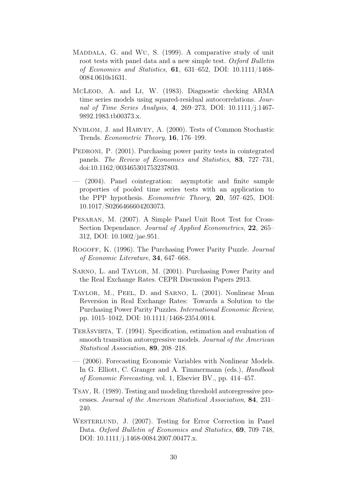- MADDALA, G. and WU, S. (1999). A comparative study of unit root tests with panel data and a new simple test. Oxford Bulletin of Economics and Statistics, 61, 631–652, DOI: 10.1111/1468- 0084.0610s1631.
- McLeod, A. and LI, W. (1983). Diagnostic checking ARMA time series models using squared-residual autocorrelations. Journal of Time Series Analysis, 4, 269–273, DOI: 10.1111/j.1467- 9892.1983.tb00373.x.
- Nyblom, J. and Harvey, A. (2000). Tests of Common Stochastic Trends. Econometric Theory, 16, 176-199.
- PEDRONI, P. (2001). Purchasing power parity tests in cointegrated panels. The Review of Economics and Statistics, 83, 727–731, doi:10.1162/003465301753237803.
- (2004). Panel cointegration: asymptotic and finite sample properties of pooled time series tests with an application to the PPP hypothesis. Econometric Theory, 20, 597–625, DOI: 10.1017/S0266466604203073.
- Pesaran, M. (2007). A Simple Panel Unit Root Test for Cross-Section Dependance. Journal of Applied Econometrics, 22, 265– 312, DOI: 10.1002/jae.951.
- ROGOFF, K. (1996). The Purchasing Power Parity Puzzle. *Journal* of Economic Literature, 34, 647–668.
- Sarno, L. and Taylor, M. (2001). Purchasing Power Parity and the Real Exchange Rates. CEPR Discussion Papers 2913.
- Taylor, M., Peel, D. and Sarno, L. (2001). Nonlinear Mean Reversion in Real Exchange Rates: Towards a Solution to the Purchasing Power Parity Puzzles. International Economic Review, pp. 1015–1042, DOI: 10.1111/1468-2354.0014.
- Teräsvirta, T. (1994). Specification, estimation and evaluation of smooth transition autoregressive models. Journal of the American Statistical Association, 89, 208–218.
- (2006). Forecasting Economic Variables with Nonlinear Models. In G. Elliott, C. Granger and A. Timmermann (eds.), Handbook of Economic Forecasting, vol. 1, Elsevier BV., pp. 414–457.
- Tsay, R. (1989). Testing and modeling threshold autoregressive processes. Journal of the American Statistical Association, 84, 231– 240.
- WESTERLUND, J. (2007). Testing for Error Correction in Panel Data. Oxford Bulletin of Economics and Statistics, **69**, 709–748, DOI: 10.1111/j.1468-0084.2007.00477.x.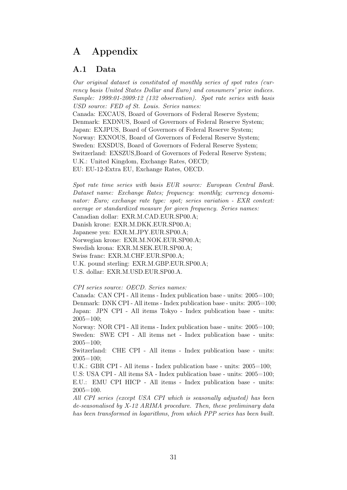## A Appendix

#### A.1 Data

*Our original dataset is constituted of monthly series of spot rates (currency basis United States Dollar and Euro) and consumers' price indices. Sample: 1999:01-2009:12 (132 observation). Spot rate series with basis USD source: FED of St. Louis. Series names:*

Canada: EXCAUS, Board of Governors of Federal Reserve System; Denmark: EXDNUS, Board of Governors of Federal Reserve System; Japan: EXJPUS, Board of Governors of Federal Reserve System; Norway: EXNOUS, Board of Governors of Federal Reserve System; Sweden: EXSDUS, Board of Governors of Federal Reserve System; Switzerland: EXSZUS,Board of Governors of Federal Reserve System; U.K.: United Kingdom, Exchange Rates, OECD; EU: EU-12-Extra EU, Exchange Rates, OECD.

*Spot rate time series with basis EUR source: European Central Bank. Dataset name: Exchange Rates; frequency: monthly; currency denominator: Euro; exchange rate type: spot; series variation - EXR context: average or standardized measure for given frequency. Series names:* Canadian dollar: EXR.M.CAD.EUR.SP00.A; Danish krone: EXR.M.DKK.EUR.SP00.A; Japanese yen: EXR.M.JPY.EUR.SP00.A; Norwegian krone: EXR.M.NOK.EUR.SP00.A; Swedish krona: EXR.M.SEK.EUR.SP00.A; Swiss franc: EXR.M.CHF.EUR.SP00.A; U.K. pound sterling: EXR.M.GBP.EUR.SP00.A; U.S. dollar: EXR.M.USD.EUR.SP00.A.

#### *CPI series source: OECD. Series names:*

Canada: CAN CPI - All items - Index publication base - units: 2005=100; Denmark: DNK CPI - All items - Index publication base - units:  $2005=100$ ; Japan: JPN CPI - All items Tokyo - Index publication base - units: 2005=100;

Norway: NOR CPI - All items - Index publication base - units: 2005=100; Sweden: SWE CPI - All items net - Index publication base - units: 2005=100;

Switzerland: CHE CPI - All items - Index publication base - units: 2005=100;

U.K.: GBR CPI - All items - Index publication base - units:  $2005=100$ : U.S: USA CPI - All items SA - Index publication base - units: 2005=100; E.U.: EMU CPI HICP - All items - Index publication base - units: 2005=100.

*All CPI series (except USA CPI which is seasonally adjusted) has been de-seasonalised by X-12 ARIMA procedure. Then, these preliminary data has been transformed in logarithms, from which PPP series has been built.*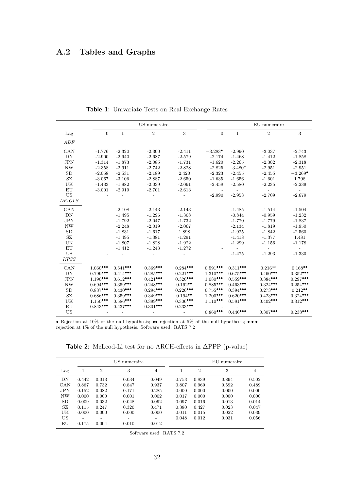## A.2 Tables and Graphs

|             |                |                           | US numeraire           |                          |                          |                           | EU numeraire   |                       |
|-------------|----------------|---------------------------|------------------------|--------------------------|--------------------------|---------------------------|----------------|-----------------------|
| Lag         | $\overline{0}$ | $\mathbf{1}$              | $\overline{2}$         | 3                        | $\overline{0}$           | $\mathbf{1}$              | $\overline{2}$ | 3                     |
| $A$ DF      |                |                           |                        |                          |                          |                           |                |                       |
| CAN         | $-1.776$       | $-2.320$                  | $-2.300$               | $-2.411$                 | $-3.283^{\bullet}$       | $-2.990$                  | $-3.037$       | $-2.743$              |
| DN          | $-2.900$       | $-2.940$                  | $-2.687$               | $-2.579$                 | $-2.174$                 | $-1.468$                  | $-1.412$       | $-1.858$              |
| <b>JPN</b>  | $-1.314$       | $-1.873$                  | $-2.085$               | $-1.731$                 | $-1.620$                 | $-2.265$                  | $-2.302$       | $-2.318$              |
| <b>NW</b>   | $-2.358$       | $-2.911$                  | $-2.742$               | $-2.828$                 | $-2.825$                 | $-3.480*$                 | $-2.951$       | $-2.951$              |
| <b>SD</b>   | $-2.058$       | $-2.531$                  | $-2.189$               | 2.420                    | $-2.323$                 | $-2.455$                  | $-2.455$       | $-3.269$ <sup>•</sup> |
| SZ          | $-3.067$       | $-3.106$                  | $-2.887$               | $-2.650$                 | $-1.635$                 | $-1.656$                  | $-1.601$       | 1.798                 |
| UK          | $-1.433$       | $-1.982$                  | $-2.039$               | $-2.091$                 | $-2.458$                 | $-2.580$                  | $-2.235$       | $-2.239$              |
| EU          | $-3.001$       | $-2.919$                  | $-2.701$               | $-2.613$                 |                          |                           |                |                       |
| <b>US</b>   |                |                           |                        |                          | $-2.990$                 | $-2.958$                  | $-2.709$       | $-2.679$              |
| $DF-GLS$    |                |                           |                        |                          |                          |                           |                |                       |
| CAN         |                | $-2.108$                  | $-2.143$               | $-2.143$                 |                          | $-1.485$                  | $-1.514$       | $-1.504$              |
| DN          |                | $-1.495$                  | $-1.296$               | $-1.308$                 |                          | $-0.844$                  | $-0.959$       | $-1.232$              |
| <b>JPN</b>  |                | $-1.792$                  | $-2.047$               | $-1.732$                 |                          | $-1.770$                  | $-1.779$       | $-1.837$              |
| <b>NW</b>   |                | $-2.248$                  | $-2.019$               | $-2.067$                 |                          | $-2.134$                  | $-1.819$       | $-1.950$              |
| SD          |                | $-1.831$                  | $-1.617$               | 1.898                    |                          | $-1.925$                  | $-1.842$       | $-2.560$              |
| SZ          |                | $-1.495$                  | $-1.381$               | $-1.291$                 |                          | $-1.418$                  | $-1.377$       | 1.481                 |
| UK          |                | $-1.807$                  | $-1.828$               | $-1.922$                 |                          | $-1.299$                  | $-1.156$       | $-1.178$              |
| EU          |                | $-1.412$                  | $-1.243$               | $-1.272$                 |                          |                           |                |                       |
| US          |                |                           |                        |                          |                          | $-1.475$                  | $-1.293$       | $-1.330$              |
| <b>KPSS</b> |                |                           |                        |                          |                          |                           |                |                       |
| CAN         | $1.060$ ***    | $0.541$ ***               | $0.369$ <sup>***</sup> | $0.284$ ***              | $0.591$ ***              | $0.311$ ***               | $0.216***$     | $0.168$ <sup>**</sup> |
| DN          | 0.799          | 0.414                     | $0.285$ ***            | $0.221$ ***              | 1.310                    | $0.675$ ***               | 0.460          | $0.352$ ***           |
| <b>JPN</b>  | 1.190          | $0.612$ ***               | $0.421$ ***            | $0.326$ ***              | $1.080$ <sup>***</sup>   | $0.559$ $\bullet \bullet$ | $0.384$ ***    | 0.297                 |
| <b>NW</b>   | $0.694$ ***    | $0.359$ $\bullet \bullet$ | $0.248$ ***            | $0.192$ <sup>**</sup>    | $0.885$ $\bullet\bullet$ | 0.463                     | $0.324$ ***    | $0.254$ ***           |
| <b>SD</b>   | $0.837$ ***    | 0.430                     | $0.294$ ***            | $0.226$ ***              | $0.755$ ***              | $0.394$ ***               | $0.273$ ***    | $0.212$ <sup>**</sup> |
| SZ          | $0.686$ ***    | $0.359$ ***               | $0.349$ ***            | $0.194$ <sup>**</sup>    | 1.200                    | 0.620                     | 0.423          | $0.324$ ***           |
| UK          | 1.150          | $0.586$ ***               | 0.399                  | 0.306                    | 1.110                    | $0.581$ ***               | 0.402          | 0.312                 |
| EU          | 0.843          | 0.437                     | $0.301$ ***            | 0.233                    |                          |                           |                |                       |
| US          |                |                           |                        | $\overline{\phantom{a}}$ | $0.860$ ***              | $0.446$ ***               | $0.307$ ***    | $0.238$ ***           |

Table 1: Univariate Tests on Real Exchange Rates

• Rejection at 10% of the null hypothesis; •• rejection at 5% of the null hypothesis; ••• rejection at 1% of the null hypothesis. Software used: RATS 7.2

Table 2: McLeod-Li test for no ARCH-effects in ∆PPP (p-value)

|           |                          |                 | US numeraire |       |       |                | EU numeraire | 4<br>0.502<br>0.489<br>0.000<br>0.000<br>0.014<br>0.047<br>0.039 |  |  |
|-----------|--------------------------|-----------------|--------------|-------|-------|----------------|--------------|------------------------------------------------------------------|--|--|
| Lag       |                          | $\overline{2}$  | 3            | 4     |       | $\overline{2}$ | 3            |                                                                  |  |  |
| DN        | 0.442                    | 0.013           | 0.034        | 0.049 | 0.753 | 0.839          | 0.894        |                                                                  |  |  |
| CAN       | 0.867                    | 0.732           | 0.847        | 0.937 | 0.807 | 0.969          | 0.592        |                                                                  |  |  |
| JPN       | 0.152                    | 0.082           | 0.171        | 0.285 | 0.000 | 0.000          | 0.000        |                                                                  |  |  |
| <b>NW</b> | 0.000                    | 0.000           | 0.001        | 0.002 | 0.017 | 0.000          | 0.000        |                                                                  |  |  |
| <b>SD</b> | 0.009                    | 0.032           | 0.048        | 0.092 | 0.097 | 0.016          | 0.013        |                                                                  |  |  |
| SZ        | 0.115                    | 0.247           | 0.320        | 0.471 | 0.380 | 0.427          | 0.023        |                                                                  |  |  |
| UK        | 0.000                    | 0.000           | 0.000        | 0.000 | 0.011 | 0.015          | 0.022        |                                                                  |  |  |
| US        | $\overline{\phantom{0}}$ | $\qquad \qquad$ |              |       | 0.048 | 0.012          | 0.031        | 0.056                                                            |  |  |
| ΕU        | 0.175                    | 0.004           | 0.010        | 0.012 |       |                |              |                                                                  |  |  |

Software used: RATS 7.2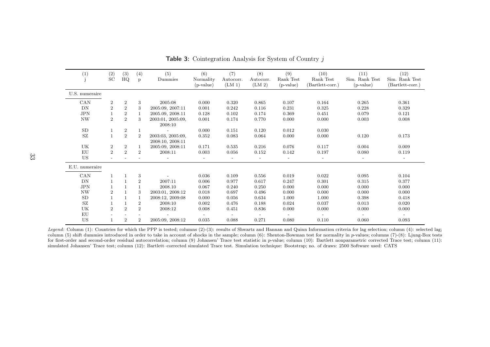| (1)            | (2)<br><b>SC</b> | (3)<br>HQ        | (4)<br>p       | (5)<br>Dummies                        | (6)<br>Normality<br>$(p-value)$ | (7)<br>Autocorr.<br>$(LM_1)$ | (8)<br>Autocorr.<br>(LM <sub>2</sub> ) | (9)<br>Rank Test<br>$(p-value)$ | (10)<br>Rank Test<br>(Bartlett-corr.) | (11)<br>Sim. Rank Test<br>$(p-value)$ | (12)<br>Sim. Rank Test<br>(Bartlett-corr.) |
|----------------|------------------|------------------|----------------|---------------------------------------|---------------------------------|------------------------------|----------------------------------------|---------------------------------|---------------------------------------|---------------------------------------|--------------------------------------------|
| U.S. numeraire |                  |                  |                |                                       |                                 |                              |                                        |                                 |                                       |                                       |                                            |
| CAN            | $\overline{2}$   | $\boldsymbol{2}$ | 3              | 2005:08                               | 0.000                           | 0.320                        | 0.865                                  | 0.107                           | 0.164                                 | 0.265                                 | 0.361                                      |
| DN             | $\overline{2}$   | $\overline{2}$   | 3              | 2005:09, 2007:11                      | 0.001                           | 0.242                        | 0.116                                  | 0.231                           | 0.325                                 | 0.228                                 | 0.329                                      |
| <b>JPN</b>     |                  | $\overline{2}$   | 1              | 2005.09, 2008.11                      | 0.128                           | 0.102                        | 0.174                                  | 0.369                           | 0.451                                 | 0.079                                 | 0.121                                      |
| <b>NW</b>      | $\overline{2}$   | $\overline{2}$   | 3              | 2003:01, 2005:09,<br>2008:10          | 0.001                           | 0.174                        | 0.770                                  | 0.000                           | 0.000                                 | 0.003                                 | 0.008                                      |
| <b>SD</b>      |                  | $\overline{2}$   | 1              | $\overline{\phantom{a}}$              | 0.000                           | 0.151                        | 0.120                                  | 0.012                           | 0.030                                 |                                       |                                            |
| SZ             |                  | $\overline{2}$   | 2              | 2003:03, 2005:09,<br>2008:10, 2008:11 | 0.352                           | 0.083                        | 0.064                                  | 0.000                           | 0.000                                 | 0.120                                 | 0.173                                      |
| UK             | $\boldsymbol{2}$ | $\overline{2}$   | 1              | 2005:09, 2008:11                      | 0.171                           | 0.535                        | 0.216                                  | 0.076                           | 0.117                                 | 0.004                                 | 0.009                                      |
| EU             | $\overline{2}$   | $\overline{2}$   | 2              | 2008:11                               | 0.003                           | 0.056                        | 0.152                                  | 0.142                           | 0.197                                 | 0.080                                 | 0.119                                      |
| US             |                  |                  |                |                                       |                                 |                              |                                        | $\overline{\phantom{0}}$        | $\overline{\phantom{a}}$              |                                       | $\overline{\phantom{a}}$                   |
| E.U. numeraire |                  |                  |                |                                       |                                 |                              |                                        |                                 |                                       |                                       |                                            |
| CAN            |                  |                  | 3              |                                       | 0.036                           | 0.109                        | 0.556                                  | 0.019                           | 0.022                                 | 0.095                                 | 0.104                                      |
| DN             |                  |                  | $\overline{2}$ | 2007:11                               | 0.006                           | 0.977                        | 0.617                                  | 0.247                           | 0.301                                 | 0.315                                 | 0.377                                      |
| <b>JPN</b>     |                  |                  | $\mathbf{1}$   | 2008.10                               | 0.067                           | 0.240                        | 0.250                                  | 0.000                           | 0.000                                 | 0.000                                 | 0.000                                      |
| <b>NW</b>      | $\overline{2}$   |                  | 3              | 2003:01, 2008:12                      | 0.018                           | 0.697                        | 0.496                                  | 0.000                           | 0.000                                 | 0.000                                 | 0.000                                      |
| <b>SD</b>      |                  |                  |                | 2008:12, 2009:08                      | 0.000                           | 0.056                        | 0.634                                  | 1.000                           | 1.000                                 | 0.398                                 | 0.418                                      |
| SZ             |                  |                  | $\sqrt{2}$     | 2008:10                               | 0.002                           | 0.476                        | 0.188                                  | 0.024                           | 0.037                                 | 0.013                                 | 0.020                                      |
| UK             | $\overline{2}$   | $\overline{2}$   | 2              | 2008:12                               | 0.008                           | 0.451                        | 0.836                                  | 0.000                           | 0.000                                 | 0.000                                 | 0.000                                      |
| EU             |                  |                  |                |                                       |                                 |                              | $\overline{\phantom{a}}$               | $\overline{\phantom{a}}$        |                                       |                                       |                                            |
| US             |                  | $\overline{2}$   | $\overline{2}$ | 2005:09, 2008:12                      | 0.035                           | 0.088                        | 0.271                                  | 0.080                           | 0.110                                 | 0.060                                 | 0.093                                      |

**Table 3:** Cointegration Analysis for System of Country j

Legend: Column (1): Countries for which the PPP is tested; columns (2)-(3): results of Shwartz and Hannan and Quinn Information criteria for lag selection; column (4): selected lag; column (5) shift dummies introduced in order to take in account of shocks in the sample; column (6): Shenton-Bowman test for normality in  $p$ -values; columns (7)-(8): Ljung-Box tests for first-order and second-order residual autocorrelation; column (9) Johansen' Trace test statistic in p-value; column (10): Bartlett nonparametric corrected Trace test; column (11): simulated Johansen' Trace test; column (12): Bartlett–corrected simulated Trace test. Simulation technique: Bootstrap; no. of draws: <sup>2500</sup> Software used: CATS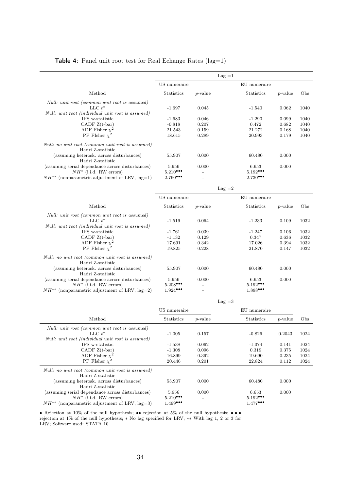|                                                                                                                                        |                  |                          | $\text{Lag} = 1$ |                  |                 |              |
|----------------------------------------------------------------------------------------------------------------------------------------|------------------|--------------------------|------------------|------------------|-----------------|--------------|
|                                                                                                                                        | US numeraire     |                          |                  | EU numeraire     |                 |              |
| Method                                                                                                                                 | Statistics       | $p$ -value               |                  | Statistics       | $p$ -value      | Obs          |
| Null: unit root (common unit root is assumed)<br>LLC $t^*$<br>Null: unit root (individual unit root is assumed)                        | $-1.697$         | 0.045                    |                  | $-1.540$         | 0.062           | 1040         |
| IPS w-statistic                                                                                                                        | $-1.683$         | 0.046                    |                  | $-1.290$         | 0.099           | 1040         |
| CADF $Z(t-bar)$                                                                                                                        | $-0.818$         | 0.207                    |                  | 0.472            | 0.682           | 1040         |
| ADF Fisher $\chi^2$<br>PP FIsher $\chi^2$                                                                                              | 21.543<br>18.615 | 0.159<br>0.289           |                  | 21.272<br>20.993 | 0.168<br>0.179  | 1040<br>1040 |
| Null: no unit root (common unit root is assumed)<br>Hadri Z-statistic<br>(assuming heterosk. across disturbances)<br>Hadri Z-statistic | 55.907           | 0.000                    |                  | 60.480           | 0.000           |              |
| (assuming serial dependance across disturbances)                                                                                       | 5.956            | 0.000                    |                  | 6.653            | 0.000           |              |
| $NH^*$ (i.i.d. RW errors)                                                                                                              | $5.210$ ***      |                          |                  | 5.192            |                 |              |
| $NH^{**}$ (nonparametric adjustment of LRV, lag=1)                                                                                     | $2.760$ ***      |                          |                  | $2.730$ ***      |                 |              |
|                                                                                                                                        |                  |                          | $\text{Lag} = 2$ |                  |                 |              |
|                                                                                                                                        | US numeraire     |                          |                  | EU numeraire     |                 |              |
| Method                                                                                                                                 | Statistics       | $p$ -value               |                  | Statistics       | $p$ -value      | Obs          |
| Null: unit root (common unit root is assumed)<br>LLC $t^*$<br>Null: unit root (individual unit root is assumed)                        | $-1.519$         | 0.064                    |                  | $-1.233$         | 0.109           | 1032         |
| IPS w-statistic                                                                                                                        | $-1.761$         | 0.039                    |                  | $-1.247$         | 0.106           | 1032         |
| $CADFZ(t-bar)$                                                                                                                         | $-1.132$         | 0.129                    |                  | 0.347            | 0.636           | 1032         |
| ADF Fisher $\chi^2$<br>PP FIsher $\chi^2$                                                                                              | 17.691<br>19.825 | 0.342<br>0.228           |                  | 17.026<br>21.870 | 0.394<br>0.147  | 1032<br>1032 |
|                                                                                                                                        |                  |                          |                  |                  |                 |              |
| Null: no unit root (common unit root is assumed)<br>Hadri Z-statistic<br>(assuming heterosk. across disturbances)                      | 55.907           | 0.000                    |                  | 60.480           | 0.000           |              |
| Hadri Z-statistic<br>(assuming serial dependance across disturbances)                                                                  | 5.956            | 0.000                    |                  | 6.653            | 0.000           |              |
| $NH^*$ (i.i.d. RW errors)                                                                                                              | $5.208$ ***      |                          |                  | $5.192$ ***      |                 |              |
| $NH^{**}$ (nonparametric adjustment of LRV, lag=2)                                                                                     | $1.924$ ***      | $\overline{\phantom{a}}$ |                  | 1.898            |                 |              |
|                                                                                                                                        |                  |                          | $\text{Lag} = 3$ |                  |                 |              |
|                                                                                                                                        | US numeraire     |                          |                  | EU numeraire     |                 |              |
| Method                                                                                                                                 | Statistics       | $p$ -value               |                  | Statistics       | <i>p</i> -value | Obs          |
| Null: unit root (common unit root is assumed)<br>LLC $t^*$<br>Null: unit root (individual unit root is assumed)                        | $-1.005$         | 0.157                    |                  | $-0.826$         | 0.2043          | 1024         |
| IPS w-statistic                                                                                                                        | $-1.538$         | 0.062                    |                  | -1.074           | 0.141           | 1024         |
| CADF $Z(t-bar)$                                                                                                                        | $-1.308$         | 0.096                    |                  | 0.319            | 0.375           | 1024         |
| ADF Fisher $\chi^2$                                                                                                                    | 16.899           | 0.392                    |                  | 19.690           | 0.235           | 1024         |
| PP FIsher $\chi^2$                                                                                                                     | 20.446           | 0.201                    |                  | 22.824           | 0.112           | 1024         |
| Null: no unit root (common unit root is assumed)<br>Hadri Z-statistic                                                                  |                  |                          |                  |                  |                 |              |
| (assuming heterosk. across disturbances)<br>Hadri Z-statistic                                                                          | 55.907           | 0.000                    |                  | 60.480           | 0.000           |              |
| (assuming serial dependance across disturbances)                                                                                       | 5.956            | 0.000                    |                  | 6.653            | 0.000           |              |
| $NH^*$ (i.i.d. RW errors)                                                                                                              | 5.210            |                          |                  | 5.192            |                 |              |
| (nonparametric adjustment of LRV, $lag=3$ )<br>$NH^{**}$                                                                               | $1.499$ ***      |                          |                  | $1.477$ ***      |                 |              |

#### Table 4: Panel unit root test for Real Echange Rates (lag=1)

• Rejection at 10% of the null hypothesis; •• rejection at 5% of the null hypothesis; ••• rejection at 1% of the null hypothesis; ∗ No lag specified for LRV; ∗∗ With lag 1, 2 or 3 for

LRV; Software used: STATA 10.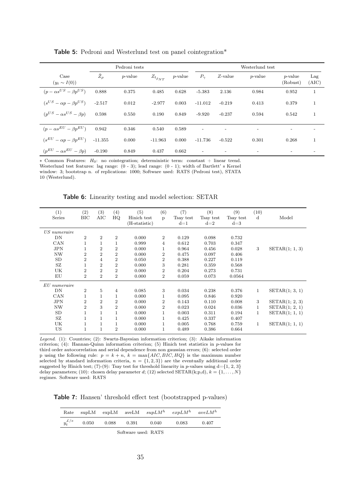|                                      |                 | Pedroni tests |                           |            |                          |                          | Westerlund test          |                             |              |
|--------------------------------------|-----------------|---------------|---------------------------|------------|--------------------------|--------------------------|--------------------------|-----------------------------|--------------|
| Case<br>$(y_t \sim I(0))$            | $\tilde Z_\rho$ | $p$ -value    | $Z_{t_{\hat{\rho}_{NT}}}$ | $p$ -value | $P_{\gamma}$             | $Z$ -value               | $p$ -value               | <i>p</i> -value<br>(Robust) | Lag<br>(AIC) |
| $(p - \alpha s^{US} - \beta p^{US})$ | 0.888           | 0.375         | 0.485                     | 0.628      | $-5.383$                 | 2.136                    | 0.984                    | 0.952                       | $\mathbf 1$  |
| $(s^{US} - \alpha p - \beta p^{US})$ | $-2.517$        | 0.012         | $-2.977$                  | 0.003      | $-11.012$                | $-0.219$                 | 0.413                    | 0.379                       | $\mathbf 1$  |
| $(p^{US} - \alpha s^{US} - \beta p)$ | 0.598           | 0.550         | 0.190                     | 0.849      | $-9.920$                 | $-0.237$                 | 0.594                    | 0.542                       | $\mathbf 1$  |
| $(p - \alpha s^{EU} - \beta p^{EU})$ | 0.942           | 0.346         | 0.540                     | 0.589      | $\overline{\phantom{0}}$ |                          |                          |                             |              |
| $(s^{EU} - \alpha p - \beta p^{EU})$ | $-11.355$       | 0.000         | $-11.963$                 | 0.000      | $-11.736$                | $-0.522$                 | 0.301                    | 0.268                       | $\mathbf 1$  |
| $(p^{EU} - \alpha s^{EU} - \beta p)$ | $-0.190$        | 0.849         | 0.437                     | 0.662      | $\overline{\phantom{a}}$ | $\overline{\phantom{a}}$ | $\overline{\phantom{a}}$ | $\overline{\phantom{a}}$    |              |

Table 5: Pedroni and Westerlund test on panel cointegration\*

∗ Common Features: H0: no cointegration; deterministic term: constant + linear trend. Westerlund test features: lag range: (0 - 3); lead range: (0 - 1); width of Bartlett' s Kernel window: 3; bootstrap n. of replications: 1000; Software used: RATS (Pedroni test), STATA 10 (Westerlund).

Table 6: Linearity testing and model selection: SETAR

| (1)<br>Series  | $\left( 2\right)$<br>BIC | (3)<br>AIC     | (4)<br>HQ      | (5)<br>Hinich test<br>(H-statistic) | (6)<br>p         | (7)<br>Tsay test<br>$d=1$ | (8)<br>Tsay test<br>$d=2$ | (9)<br>Tsay test<br>$d=3$ | (10)<br>$\rm{d}$ | Model          |
|----------------|--------------------------|----------------|----------------|-------------------------------------|------------------|---------------------------|---------------------------|---------------------------|------------------|----------------|
| US numeraire   |                          |                |                |                                     |                  |                           |                           |                           |                  |                |
| DN             | $\overline{2}$           | $\overline{2}$ | $\overline{2}$ | 0.000                               | $\overline{2}$   | 0.129                     | 0.098                     | 0.732                     |                  |                |
| CAN            |                          |                |                | 0.999                               | $\overline{4}$   | 0.612                     | 0.703                     | 0.347                     |                  |                |
| <b>JPN</b>     | $\mathbf{1}$             | $\overline{2}$ | $\overline{2}$ | 0.000                               | 1                | 0.964                     | 0.456                     | 0.028                     | 3                | SETAR(1; 1, 3) |
| <b>NW</b>      | $\overline{2}$           | $\overline{2}$ | $\overline{2}$ | 0.000                               | $\boldsymbol{2}$ | 0.475                     | 0.097                     | 0.406                     |                  |                |
| SD             | $\overline{2}$           | 4              | $\overline{2}$ | 0.050                               | $\overline{2}$   | 0.388                     | 0.227                     | 0.119                     |                  |                |
| SZ             | 1                        | $\overline{2}$ | $\overline{2}$ | 0.000                               | 3                | 0.281                     | 0.359                     | 0.568                     |                  |                |
| UK             | $\overline{2}$           | $\overline{2}$ | $\overline{2}$ | 0.000                               | $\overline{2}$   | 0.204                     | 0.273                     | 0.731                     |                  |                |
| EU             | $\overline{2}$           | $\overline{2}$ | $\overline{2}$ | 0.000                               | $\overline{2}$   | 0.059                     | 0.073                     | 0.0564                    |                  |                |
| $EU$ numeraire |                          |                |                |                                     |                  |                           |                           |                           |                  |                |
| DN             | $\overline{2}$           | 5              | $\overline{4}$ | 0.085                               | 3                | 0.034                     | 0.238                     | 0.376                     | $\mathbf 1$      | SETAR(1; 3, 1) |
| CAN            | 1                        |                | $\mathbf{1}$   | 0.000                               | $\mathbf{1}$     | 0.095                     | 0.846                     | 0.920                     |                  |                |
| <b>JPN</b>     | $\overline{2}$           | $\overline{2}$ | $\overline{2}$ | 0.000                               | $\overline{2}$   | 0.143                     | 0.110                     | 0.008                     | 3                | SETAR(1; 2, 3) |
| <b>NW</b>      | $\overline{2}$           | 3              | $\overline{2}$ | 0.000                               | $\overline{2}$   | 0.023                     | 0.024                     | 0.036                     | 1                | SETAR(1; 2, 1) |
| SD             | 1                        |                |                | 0.000                               | $\mathbf 1$      | 0.003                     | 0.311                     | 0.194                     | $\mathbf{1}$     | SETAR(1; 1, 1) |
| SZ             | 1                        | 1              |                | 0.000                               | 1                | 0.425                     | 0.337                     | 0.407                     |                  |                |
| UK             | 1                        |                | 1              | 0.000                               | $\mathbf{1}$     | 0.005                     | 0.768                     | 0.759                     | 1                | SETAR(1; 1, 1) |
| US             | $\mathbf 1$              | $\mathbf{1}$   | $\overline{2}$ | 0.000                               | 1                | 0.489                     | 0.386                     | 0.664                     |                  |                |

*Legend*. (1): Countries; (2): Swartz-Bayesian information criterion; (3): Aikake information criterion; (4): Hannan-Quinn information criterion; (5) Hinich test statistics in  $p$ -values for third order autocorrelation and serial dependence from non gaussian errors; (6): selected order p using the following rule:  $p = k + n$ ,  $k = \max\{AIC, BIC, HQ\}$  is the maximum number selected by standard information criteria,  $n = \{1, 2, 3\}$  are the eventually additional order suggested by Hinich test; (7)-(9): Tsay test for threshold linearity in p-values using  $d = \{1, 2, 3\}$ delay parameters; (10): chosen delay parameter d; (12) selected SETAR(k;p,d),  $k = \{1, ..., N\}$ regimes. Software used: RATS

Table 7: Hansen' threshold effect test (bootstrapped p-values)

| Rate                |       |       |       | supLM expLM aveLM $\frac{supLM^h}{expLM^h}$ expLM <sup>h</sup> aveLM <sup>h</sup> |       |       |  |  |  |  |  |
|---------------------|-------|-------|-------|-----------------------------------------------------------------------------------|-------|-------|--|--|--|--|--|
| $y_t^{L/e}$         | 0.050 | 0.088 | 0.391 | 0.040                                                                             | 0.083 | 0.407 |  |  |  |  |  |
| Software used: RATS |       |       |       |                                                                                   |       |       |  |  |  |  |  |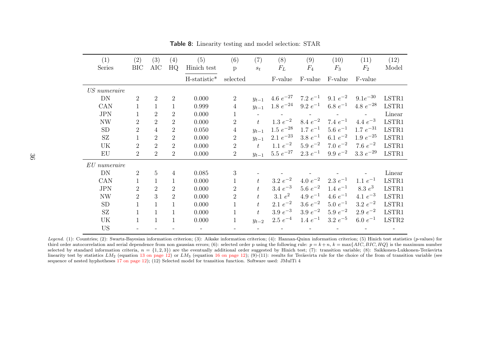| (1)          | (2)            | (3)            | (4)            | (5)                         | (6)            | (7)             | (8)                      | (9)            | (10)                                    | (11)          | (12)              |
|--------------|----------------|----------------|----------------|-----------------------------|----------------|-----------------|--------------------------|----------------|-----------------------------------------|---------------|-------------------|
| Series       | <b>BIC</b>     | AIC            | HQ             | Hinich test                 | $\mathbf{p}$   | $s_t$           | $F_L$                    | $F_4$          | $F_3$                                   | $F_2$         | Model             |
|              |                |                |                | $H$ -statistic <sup>*</sup> | selected       |                 | F-value                  | F-value        | F-value                                 | F-value       |                   |
| US numeraire |                |                |                |                             |                |                 |                          |                |                                         |               |                   |
| DN           | 2              | $\overline{2}$ | $\overline{2}$ | 0.000                       | $\overline{2}$ | $y_{t-1}$       |                          |                | 4.6 $e^{-27}$ 7.2 $e^{-1}$ 9.1 $e^{-2}$ | $9.1e^{-30}$  | LSTR1             |
| CAN          | 1              |                | 1              | 0.999                       | $\overline{4}$ | $y_{t-1}$       | 1.8 $e^{-24}$            | $9.2 e^{-1}$   | 6.8 $e^{-1}$                            | 4.8 $e^{-28}$ | LSTR1             |
| JPN          | 1              | $\overline{2}$ | $\overline{2}$ | 0.000                       | $\mathbf{1}$   |                 | $\overline{\phantom{a}}$ | $\blacksquare$ |                                         | $\sim$        | Linear            |
| <b>NW</b>    | 2              | $\overline{2}$ | $\overline{2}$ | 0.000                       | $\overline{2}$ | t               | $1.3 e^{-2}$             | $8.4 e^{-2}$   | 7.4 $e^{-1}$                            | 4.4 $e^{-3}$  | LSTR1             |
| SD           | $\overline{2}$ | 4              | $\overline{2}$ | 0.050                       | $\overline{4}$ | $y_{t-1}$       | $1.5 e^{-28}$            | $1.7 e^{-1}$   | $5.6 e^{-1}$                            | $1.7 e^{-31}$ | LSTR1             |
| SZ           |                | $\overline{2}$ | $\overline{2}$ | 0.000                       | $\overline{2}$ | $y_{t-1}$       | 2.1 $e^{-23}$            | 3.8 $e^{-1}$   | 6.1 $e^{-2}$                            | $1.9 e^{-25}$ | LSTR1             |
| UK           | $\overline{2}$ | $\overline{2}$ | $\overline{2}$ | 0.000                       | $\overline{2}$ | $t_{\parallel}$ | 1.1 $e^{-2}$             | $5.9 e^{-2}$   | $7.0 e^{-2}$                            | 7.6 $e^{-2}$  | LSTR1             |
| EU           | 2              | $\overline{2}$ | $\overline{2}$ | 0.000                       | $\overline{2}$ | $y_{t-1}$       | $5.5 e^{-27}$            | $2.3 e^{-1}$   | 9.9 $e^{-2}$                            | 3.3 $e^{-29}$ | LSTR1             |
| EU numeraire |                |                |                |                             |                |                 |                          |                |                                         |               |                   |
| DN           | $\overline{2}$ | 5              | 4              | 0.085                       | 3              |                 |                          |                |                                         |               | Linear            |
| CAN          | $\mathbf{1}$   |                | $\mathbf{1}$   | 0.000                       | $\mathbf{1}$   | t               | $3.2 e^{-2}$             | $4.0 e^{-2}$   | $2.3 e^{-1}$                            | 1.1 $e^{-1}$  | LSTR1             |
| JPN          | $\overline{2}$ | $\overline{2}$ | $\overline{2}$ | 0.000                       | $\overline{2}$ | $t\,$           | 3.4 $e^{-3}$             | $5.6 e^{-2}$   | $1.4 e^{-1}$                            | $8.3 e^{3}$   | LSTR1             |
| <b>NW</b>    | 2              | 3              | $\overline{2}$ | 0.000                       | $\overline{2}$ | $t\,$           | 3.1 $e^2$                | 4.9 $e^{-1}$   | 4.6 $e^{-1}$                            | 4.1 $e^{-3}$  | LSTR1             |
| SD           | 1              |                | 1              | 0.000                       | $\mathbf{1}$   | t               | $2.1 e^{-2}$             | $3.6 e^{-2}$   | $5.0 e^{-1}$                            | $3.2 e^{-2}$  | LSTR1             |
| SZ           |                |                | 1              | 0.000                       | 1              | $t\,$           | 3.9 $e^{-3}$             | $3.9 e^{-2}$   | $5.9 e^{-2}$                            | $2.9 e^{-2}$  | LSTR1             |
| UK           | $\mathbf 1$    | 1              | $\mathbf{1}$   | 0.000                       | $\mathbf{1}$   | $y_{t-2}$       | $2.5 e^{-4}$             | $1.4 e^{-1}$   | $3.2 e^{-5}$                            | 6.0 $e^{-1}$  | LSTR <sub>2</sub> |
| <b>US</b>    |                |                |                |                             |                |                 |                          |                |                                         |               |                   |

Table 8: Linearity testing and model selection: STAR

Legend. (1): Countries; (2): Swartz-Bayesian information criterion; (3): Aikake information criterion; (4): Hannan-Quinn information criterion; (5) Hinich test statistics (p-values) for third order autocorrelation and serial dependence from non gaussian errors; (6): selected order p using the following rule:  $p = k + n$ ,  $k = \max\{AIC, BIC, HQ\}$  is the maximum number selected by standard information criteria,  $n = \{1, 2, 3\}$  are the eventually additional order suggested by Hinich test; (7): transition variable; (8): Saikkonen-Lukkonen-Teräsvirta linearity test by statistics  $LM_2$  (equation 13 on page 12) or  $LM_3$  (equation 16 on page 12); (9)-(11): results for Teräsvirta rule for the choice of the from of transition variable (see sequence of nested hyphotheses <sup>17</sup> on page 12); (12) Selected model for transition function. Software used: JMulTi <sup>4</sup>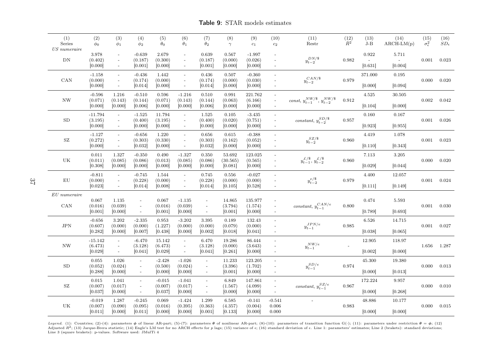Table 9: STAR models estimates

| (1)<br>Series<br>US numeraire     | (2)<br>$\phi_0$                   | (3)<br>$\phi_1$                                                                                       | (4)<br>$\phi_2$                                                                  | (5)<br>$\theta_0$                 | (6)<br>$\theta_1$                                                                | (7)<br>$\theta_2$                                                                | (8)<br>$\gamma$               | (9)<br>$\scriptstyle c_1$      | (10)<br>$\mathfrak{c}_2$                             | (11)<br>Restr                                 | $\stackrel{(12)}{\bar{R}^2}$ | (13)<br>$J-B$                    | (14)<br>$ARCH-LM(p)$       | (15)<br>$\sigma_{\epsilon}^2$ | (16)<br>$SD_{\epsilon}$ |
|-----------------------------------|-----------------------------------|-------------------------------------------------------------------------------------------------------|----------------------------------------------------------------------------------|-----------------------------------|----------------------------------------------------------------------------------|----------------------------------------------------------------------------------|-------------------------------|--------------------------------|------------------------------------------------------|-----------------------------------------------|------------------------------|----------------------------------|----------------------------|-------------------------------|-------------------------|
| $\mathbf{DN}$                     | 3.978<br>(0.402)<br>[0.000]       | $\overline{\phantom{a}}$<br>$\overline{\phantom{a}}$<br>$\overline{\phantom{a}}$                      | $-0.639$<br>(0.187)<br>[0.001]                                                   | 2.679<br>(0.300)<br>[0.000]       | $\overline{\phantom{a}}$<br>$\overline{\phantom{a}}$<br>$\overline{\phantom{a}}$ | 0.639<br>(0.187)<br>[0.001]                                                      | 0.567<br>(0.000)<br>[0.000]   | $-1.997$<br>(0.026)<br>[0.000] |                                                      | $y_{t-2}^{DN/\$}$                             | 0.982                        | 0.922<br>$\mathbf{r}$<br>[0.631] | 5.711<br>$\sim$<br>[0.004] | 0.001                         | 0.023                   |
| CAN                               | $-1.158$<br>(0.000)<br>[0.000]    | $\sim$<br>$\equiv$<br>$\sim$                                                                          | $-0.436$<br>(0.174)<br>[0.014]                                                   | 1.442<br>(0.000)<br>[0.000]       | $\blacksquare$<br>$\overline{\phantom{a}}$<br>$\overline{\phantom{a}}$           | 0.436<br>(0.174)<br>[0.014]                                                      | 0.507<br>(0.000)<br>[0.000]   | $-0.360$<br>(0.030)<br>[0.000] | $\overline{a}$                                       | $y_{t-2}^{CAN/\$}$                            | 0.979                        | 371.000<br>[0.000]               | 0.195<br>[0.094]           | 0.000                         | 0.020                   |
| <b>NW</b>                         | $-0.596$<br>(0.071)<br>[0.000]    | 1.216<br>(0.143)<br>[0.000]                                                                           | $-0.510$<br>(0.144)<br>[0.006]                                                   | $\,0.596\,$<br>(0.071)<br>[0.000] | $-1.216$<br>(0.143)<br>[0.000]                                                   | $0.510\,$<br>(0.144)<br>[0.006]                                                  | 0.991<br>(0.063)<br>[0.000]   | 221.762<br>(6.166)<br>[0.000]  | $\overline{\phantom{a}}$<br>$\overline{\phantom{a}}$ | $const,\,y_{t-1}^{NW/\$,},\,y_{t-2}^{NW/\$,}$ | 0.912                        | $4.525\,$<br>[0.104]             | 30.505<br>[0.000]          | 0.002                         | 0.042                   |
| ${\rm SD}$                        | $-11.794$<br>(3.195)<br>[0.000]   | $\overline{\phantom{a}}$<br>$\overline{\phantom{a}}$<br>$\overline{\phantom{a}}$                      | $-1.525$<br>(0.400)<br>[0.000]                                                   | 11.794<br>(3.195)<br>[0.000]      | $\overline{\phantom{a}}$<br>$\overline{\phantom{a}}$<br>$\overline{\phantom{a}}$ | 1.525<br>(0.400)<br>[0.000]                                                      | 0.105<br>(0.020)<br>[0.000]   | $-3.435$<br>(0.751)<br>[0.000] | $\overline{\phantom{a}}$<br>$\overline{\phantom{a}}$ | constant, $y_{t-2}^{SD/\$}$                   | 0.957                        | 0.160<br>[0.923]                 | 0.167<br>[0.955]           | 0.001                         | 0.026                   |
| $\operatorname{SZ}$               | $-1.127$<br>(0.272)<br>[0.000]    | $\overline{\phantom{a}}$<br>$\overline{\phantom{a}}$<br>$\overline{\phantom{a}}$                      | $-0.656$<br>(0.303)<br>[0.032]                                                   | 1.220<br>(0.330)<br>[0.000]       | $\overline{\phantom{a}}$<br>$\overline{\phantom{a}}$<br>$\bar{\phantom{a}}$      | 0.656<br>(0.303)<br>[0.032]                                                      | 0.615<br>(0.162)<br>[0.000]   | $-0.388$<br>(0.052)<br>[0.000] | $\overline{\phantom{a}}$<br>$\overline{\phantom{a}}$ | $y_{t-2}^{SZ/\$}$                             | 0.960                        | 4.419<br>[0.110]                 | 1.078<br>[0.343]           | 0.001                         | 0.023                   |
| $\ensuremath{\mathrm{UK}}\xspace$ | 0.011<br>(0.011)<br>[0.308]       | 1.327<br>(0.085)<br>[0.000]                                                                           | $-0.350$<br>(0.086)<br>[0.000]                                                   | 0.490<br>(0.013)<br>[0.000]       | $-1.327$<br>(0.085)<br>[0.000]                                                   | 0.350<br>(0.086)<br>[0.000]                                                      | 53.692<br>(30.565)<br>[0.081] | 123.025<br>(0.565)<br>[0.000]  | $\overline{\phantom{a}}$                             | $y^{\pounds/\$}_{t-1},\,y^{\pounds/\$}_{t-2}$ | 0.960                        | $7.113\,$<br>[0.029]             | 3.205<br>[0.044]           | 0.000                         | 0.020                   |
| ${\rm EU}$                        | $-0.811$<br>(0.000)<br>[0.023]    | $\overline{\phantom{a}}$<br>$\overline{\phantom{a}}$<br>$\mathord{\hspace{1pt}\text{--}\hspace{1pt}}$ | $-0.745$<br>(0.228)<br>[0.014]                                                   | 1.544<br>(0.000)<br>[0.008]       | $\overline{\phantom{a}}$<br>$\overline{\phantom{a}}$<br>$\overline{\phantom{a}}$ | 0.745<br>(0.228)<br>[0.014]                                                      | 0.556<br>(0.000)<br>[0.105]   | $-0.027$<br>(0.000)<br>[0.528] | $\overline{\phantom{a}}$                             | $y_{t-2}^{e/\$}$                              | 0.979                        | 4.400<br>[0.111]                 | 12.057<br>[0.149]          |                               | $0.001$ $0.024$         |
| $EU$ numeraire<br>CAN             | 0.067<br>(0.016)<br>[0.001]       | 1.135<br>(0.039)<br>[0.000]                                                                           | $\overline{\phantom{a}}$<br>$\overline{\phantom{a}}$<br>$\overline{\phantom{a}}$ | $0.067\,$<br>(0.016)<br>[0.001]   | $-1.135$<br>(0.039)<br>[0.000]                                                   | $\overline{\phantom{a}}$<br>$\overline{\phantom{a}}$<br>$\overline{\phantom{a}}$ | 14.865<br>(3.794)<br>[0.001]  | 135.977<br>(1.574)<br>[0.000]  | $\overline{\phantom{a}}$                             | constant, $y_{t-1}^{CAN/e}$                   | 0.800                        | 0.474<br>[0.789]                 | 5.593<br>[0.693]           |                               | $0.001$ $0.030$         |
| <b>JPN</b>                        | $-0.656$<br>(0.607)<br>[0.282]    | $3.202\,$<br>(0.000)<br>[0.000]                                                                       | $-2.335$<br>(0.000)<br>[0.007]                                                   | 0.953<br>(1.227)<br>[0.438]       | $-3.202$<br>(0.000)<br>[0.000]                                                   | $3.395\,$<br>(0.000)<br>[0.002]                                                  | 0.189<br>(0.079)<br>[0.018]   | 132.43<br>(0.000)<br>[0.041]   | $\overline{\phantom{a}}$<br>$\overline{\phantom{a}}$ | $y_{t-1}^{JPN/e}$                             | 0.985                        | $6.526\,$<br>[0.038]             | 14.715<br>[0.065]          |                               | $0.001$ $0.027$         |
| <b>NW</b>                         | $-15.142$<br>(6.473)<br>[0.029]   | $\sim$<br>$\overline{\phantom{a}}$<br>$\overline{\phantom{a}}$                                        | $-6.470$<br>(3.128)<br>[0.041]                                                   | 15.142<br>(6.473)<br>[0.029]      | $\blacksquare$<br>$\overline{\phantom{a}}$<br>$\overline{\phantom{a}}$           | 6.470<br>(3.128)<br>[0.041]                                                      | 19.286<br>(0.000)<br>[0.261]  | 86.444<br>(3.643)<br>[0.000]   | $\overline{\phantom{a}}$                             | $y_{t-1}^{NW/e}$                              |                              | 12.905<br>[0.002]                | 118.97<br>[0.000]          | 1.656                         | 1.287                   |
| ${\rm SD}$                        | $\,0.055\,$<br>(0.052)<br>[0.288] | 1.026<br>(0.024)<br>[0.000]                                                                           | $\overline{\phantom{a}}$<br>$\equiv$<br>$\overline{\phantom{a}}$                 | $-2.428$<br>(0.500)<br>[0.000]    | $-1.026$<br>(0.024)<br>[0.000]                                                   | $\blacksquare$<br>$\overline{\phantom{a}}$                                       | 11.233<br>(3.396)<br>[0.001]  | 123.205<br>(1.702)<br>[0.000]  |                                                      | $y_{t-1}^{\mathit{SD}/\mathit{e}}$            | 0.974                        | 45.300<br>[0.000]                | 19.380<br>[0.013]          |                               | $0.000 \t 0.013$        |
| $\operatorname{SZ}$               | 0.015<br>(0.007)<br>[0.037]       | 1.041<br>(0.017)<br>[0.000]                                                                           | $\overline{\phantom{a}}$<br>$\sim$<br>$\overline{\phantom{a}}$                   | $-0.015$<br>(0.007)<br>[0.037]    | $-1.041$<br>(0.017)<br>[0.000]                                                   | $\overline{\phantom{a}}$<br>$\overline{\phantom{a}}$<br>$\overline{\phantom{a}}$ | 6.849<br>(1.567)<br>[0.000]   | 147.861<br>(4.099)<br>[0.000]  | $\overline{\phantom{a}}$                             | constant, $y_{t-1}^{SZ/e}$                    | 0.967                        | 172.224<br>[0.000]               | 9.957<br>[0.268]           | 0.000                         | 0.010                   |
| $\ensuremath{\mathrm{UK}}\xspace$ | $-0.019$<br>(0.007)<br>[0.011]    | 1.287<br>(0.090)<br>[0.000]                                                                           | $-0.245$<br>(0.095)<br>[0.011]                                                   | 0.069<br>(0.016)<br>[0.000]       | $-1.424$<br>(0.395)<br>[0.000]                                                   | 1.299<br>(0.363)<br>[0.001]                                                      | 6.585<br>(4.357)<br>[0.133]   | $-0.141$<br>(0.004)<br>[0.000] | $-0.541$<br>$0.006\,$<br>0.000                       |                                               | 0.983                        | 48.886<br>[0.000]                | 10.177<br>[0.000]          | 0.000                         | 0.015                   |

*Legend.* (1): Countries; (2)-(4): parameters  $\phi$  of linear AR-part; (5)-(7): parameters  $\theta$  of nonlinear AR-part; (8)-(10): parameters of transition function G(·); (11): parameters under restriction  $\theta = \phi$ ; (12)<br>Adjus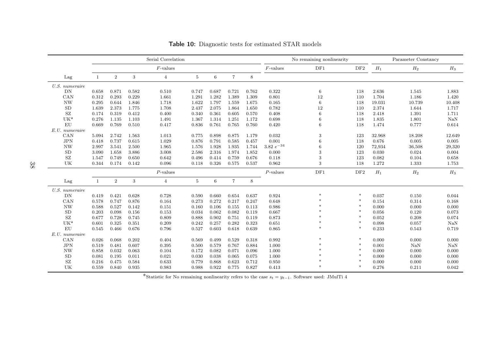|                     |                |                |       | Serial Correlation |                 |         |                |         |                | No remaining nonlinearity |                |        | Parameter Constancy |           |
|---------------------|----------------|----------------|-------|--------------------|-----------------|---------|----------------|---------|----------------|---------------------------|----------------|--------|---------------------|-----------|
|                     |                |                |       | $F$ -values        |                 |         |                |         | $F$ -values    | DF1                       | DF2            | $H_1$  | $H_2$               | $H_3$     |
| Lag                 | $\overline{1}$ | $\,2$          | 3     | $\sqrt{4}$         | $5\overline{)}$ | $\,6\,$ | $\overline{7}$ | $\,8\,$ |                |                           |                |        |                     |           |
| U.S. numeraire      |                |                |       |                    |                 |         |                |         |                |                           |                |        |                     |           |
| DN                  | 0.658          | 0.871          | 0.582 | 0.510              | 0.747           | 0.687   | 0.721          | 0.762   | 0.322          | $\,6\,$                   | 118            | 2.636  | 1.545               | 1.883     |
| CAN                 | 0.312          | 0.293          | 0.229 | 1.661              | 1.291           | 1.282   | 1.389          | 1.309   | 0.801          | 12                        | 110            | 1.704  | 1.186               | 1.420     |
| <b>NW</b>           | 0.295          | 0.644          | 1.846 | 1.718              | 1.622           | 1.797   | 1.559          | 1.675   | 0.165          | $\,6\,$                   | 118            | 19.031 | 10.739              | 10.408    |
| <b>SD</b>           | 1.639          | 2.373          | 1.775 | 1.708              | 2.437           | 2.075   | 1.864          | 1.650   | 0.782          | 12                        | 110            | 2.374  | 1.644               | 1.717     |
| $\operatorname{SZ}$ | 0.174          | 0.319          | 0.412 | 0.400              | 0.340           | 0.361   | 0.605          | 0.570   | 0.408          | 6                         | 118            | 2.418  | 1.391               | 1.711     |
| $UK^*$              | 0.276          | 1.135          | 1.103 | 1.491              | 1.367           | 1.314   | 1.251          | 1.172   | 0.698          | 6                         | 118            | 1.835  | 1.801               | $\rm NaN$ |
| EU                  | 0.669          | 0.769          | 0.510 | 0.417              | 0.836           | 0.761   | 0.765          | 0.760   | 0.420          | 6                         | 118            | 1.474  | 0.777               | 0.614     |
| E.U. numeraire      |                |                |       |                    |                 |         |                |         |                |                           |                |        |                     |           |
| CAN                 | 5.094          | 2.742          | 1.563 | 1.013              | 0.775           | 0.898   | 0.875          | 1.179   | 0.032          | 3                         | 123            | 32.968 | 18.208              | 12.649    |
| <b>JPN</b>          | 0.418          | 0.737          | 0.615 | 1.029              | 0.876           | 0.791   | 0.585          | 0.457   | 0.001          | 6                         | 118            | 0.676  | 0.005               | 0.005     |
| <b>NW</b>           | 2.997          | 3.541          | 2.500 | 1.965              | 1.576           | 1.928   | 1.935          | 1.744   | 3.82 $e^{-34}$ | 6                         | 120            | 72,934 | 36,508              | 29,320    |
| <b>SD</b>           | 3.090          | 1.658          | 3.886 | 3.008              | 2.586           | 2.316   | 1.974          | 1.852   | 0.000          | 3                         | 123            | 0.030  | 0.024               | 0.004     |
| SZ                  | 1.547          | 0.749          | 0.650 | 0.642              | 0.496           | 0.414   | 0.759          | 0.676   | 0.118          | 3                         | 123            | 0.082  | 0.104               | 0.658     |
| UK                  | 0.344          | 0.174          | 0.142 | 0.096              | 0.118           | 0.326   | 0.575          | 0.537   | 0.962          | 3                         | 118            | 1.272  | 1.333               | 1.753     |
|                     |                |                |       | $P$ -values        |                 |         |                |         | $P$ -values    | DF1                       | DF2            | $H_1$  | $H_2$               | $H_3$     |
| Lag                 | 1              | $\overline{2}$ | 3     | $\overline{4}$     | $5\phantom{.0}$ | 6       | $\overline{7}$ | 8       |                |                           |                |        |                     |           |
| U.S. numeraire      |                |                |       |                    |                 |         |                |         |                |                           |                |        |                     |           |
| DN                  | 0.419          | 0.421          | 0.628 | $0.728\,$          | 0.590           | 0.660   | 0.654          | 0.637   | 0.924          | $\mathbf{H}$              | $\mathbf{H}$   | 0.037  | 0.150               | 0.044     |
| CAN                 | 0.578          | 0.747          | 0.876 | 0.164              | 0.273           | 0.272   | 0.217          | 0.247   | 0.648          | $\mathbf{H}$              | $\mathbf{H}$   | 0.154  | 0.314               | 0.168     |
| <b>NW</b>           | 0.588          | 0.527          | 0.142 | 0.151              | 0.160           | 0.106   | 0.155          | 0.113   | 0.986          | $\mathbf{H}$              | $\blacksquare$ | 0.000  | 0.000               | 0.000     |
| SD                  | 0.203          | 0.098          | 0.156 | 0.153              | 0.034           | 0.062   | 0.082          | 0.119   | 0.667          | $\mathbf{H}$              | $\mathbf{H}$   | 0.056  | 0.120               | 0.073     |
| $\operatorname{SZ}$ | 0.677          | 0.728          | 0.745 | 0.809              | 0.888           | 0.902   | 0.751          | 0.119   | 0.873          | $\mathbf{H}$              | $\mathbf{H}$   | 0.052  | 0.208               | 0.074     |
| $UK^*$              | 0.601          | 0.325          | 0.351 | 0.209              | 0.242           | 0.257   | 0.282          | 0.323   | 0.651          | $\mathbf{u}$              | $\mathbf{H}$   | 0.098  | 0.057               | NaN       |
| ${\rm EU}$          | 0.545          | 0.466          | 0.676 | 0.796              | 0.527           | 0.603   | 0.618          | 0.639   | 0.865          | $\mathbf{H}$              | $\mathbf{H}$   | 0.233  | 0.543               | 0.719     |
| E.U. numeraire      |                |                |       |                    |                 |         |                |         |                |                           |                |        |                     |           |
| CAN                 | 0.026          | 0.068          | 0.202 | 0.404              | 0.569           | 0.499   | 0.529          | 0.318   | 0.992          | $\mathbf{H}$              | $\mathbf{H}$   | 0.000  | 0.000               | 0.000     |
| <b>JPN</b>          | 0.519          | 0.481          | 0.607 | 0.395              | 0.500           | 0.579   | 0.767          | 0.884   | 1.000          | $\mathbf{H}$              | $\mathbf{H}$   | 0.001  | NaN                 | $\rm NaN$ |
| <b>NW</b>           | 0.858          | 0.032          | 0.063 | 0.104              | 0.172           | 0.082   | 0.071          | 0.096   | 1.000          | $\mathbf{u}$              | $\mathbf{H}$   | 0.000  | 0.000               | 0.000     |
| <b>SD</b>           | 0.081          | 0.195          | 0.011 | 0.021              | 0.030           | 0.038   | 0.065          | 0.075   | 1.000          | $\mathbf{u}$              | $\mathbf{H}$   | 0.000  | 0.000               | 0.000     |
| $\operatorname{SZ}$ | 0.216          | 0.475          | 0.584 | 0.633              | 0.779           | 0.868   | 0.623          | 0.712   | 0.950          | $\mathbf{u}$              | $\mathbf{H}$   | 0.000  | 0.000               | 0.000     |
| UK                  | 0.559          | 0.840          | 0.935 | 0.983              | 0.988           | 0.922   | 0.775          | 0.827   | 0.413          | $\mathbf{u}$              | $\mathbf{H}$   | 0.276  | 0.211               | 0.042     |
|                     |                |                |       |                    |                 |         |                |         |                |                           |                |        |                     |           |

Table 10: Diagnostic tests for estimated STAR models

\*Statistic for No remaining nonlinearity refers to the case  $s_t = y_{t-1}$ . Software used: JMulTi 4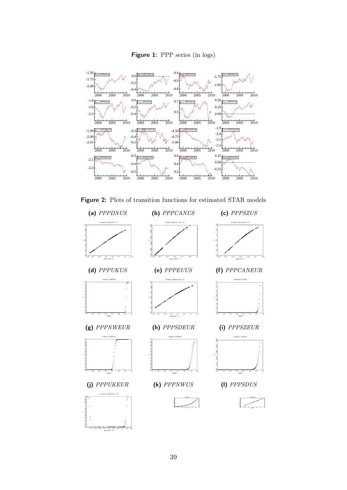



Figure 2: Plots of transition functions for estimated STAR models